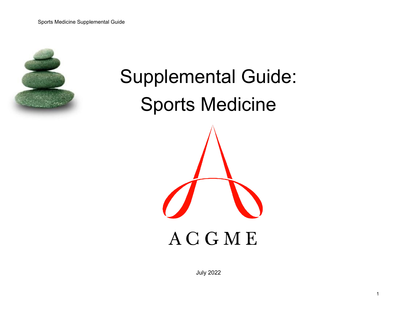

# Supplemental Guide: Sports Medicine **ACGME**

July 2022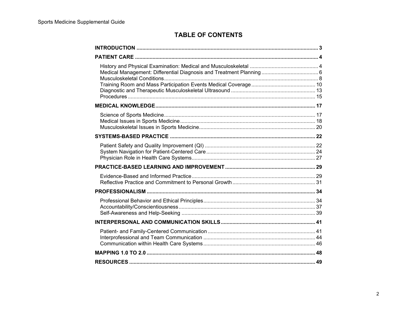## **TABLE OF CONTENTS**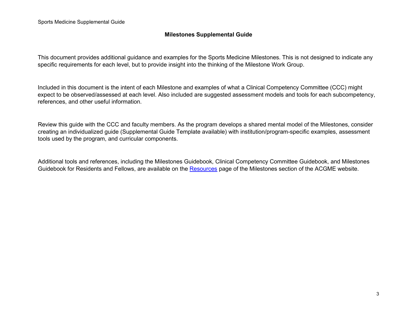### **Milestones Supplemental Guide**

This document provides additional guidance and examples for the Sports Medicine Milestones. This is not designed to indicate any specific requirements for each level, but to provide insight into the thinking of the Milestone Work Group.

Included in this document is the intent of each Milestone and examples of what a Clinical Competency Committee (CCC) might expect to be observed/assessed at each level. Also included are suggested assessment models and tools for each subcompetency, references, and other useful information.

Review this guide with the CCC and faculty members. As the program develops a shared mental model of the Milestones, consider creating an individualized guide (Supplemental Guide Template available) with institution/program-specific examples, assessment tools used by the program, and curricular components.

Additional tools and references, including the Milestones Guidebook, Clinical Competency Committee Guidebook, and Milestones Guidebook for Residents and Fellows, are available on the [Resources](http://resources/) page of the Milestones section of the ACGME website.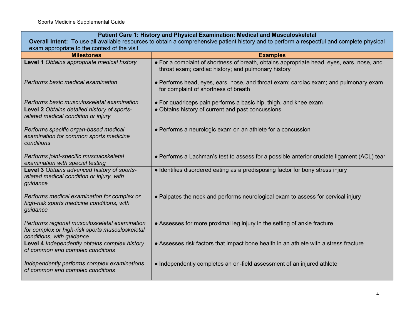| Patient Care 1: History and Physical Examination: Medical and Musculoskeletal                                                 |                                                                                                                                                  |  |
|-------------------------------------------------------------------------------------------------------------------------------|--------------------------------------------------------------------------------------------------------------------------------------------------|--|
|                                                                                                                               | Overall Intent: To use all available resources to obtain a comprehensive patient history and to perform a respectful and complete physical       |  |
| exam appropriate to the context of the visit                                                                                  |                                                                                                                                                  |  |
| <b>Milestones</b>                                                                                                             | <b>Examples</b>                                                                                                                                  |  |
| Level 1 Obtains appropriate medical history                                                                                   | • For a complaint of shortness of breath, obtains appropriate head, eyes, ears, nose, and<br>throat exam; cardiac history; and pulmonary history |  |
| Performs basic medical examination                                                                                            | • Performs head, eyes, ears, nose, and throat exam; cardiac exam; and pulmonary exam<br>for complaint of shortness of breath                     |  |
| Performs basic musculoskeletal examination                                                                                    | • For quadriceps pain performs a basic hip, thigh, and knee exam                                                                                 |  |
| Level 2 Obtains detailed history of sports-<br>related medical condition or injury                                            | • Obtains history of current and past concussions                                                                                                |  |
| Performs specific organ-based medical<br>examination for common sports medicine<br>conditions                                 | • Performs a neurologic exam on an athlete for a concussion                                                                                      |  |
| Performs joint-specific musculoskeletal<br>examination with special testing                                                   | • Performs a Lachman's test to assess for a possible anterior cruciate ligament (ACL) tear                                                       |  |
| Level 3 Obtains advanced history of sports-<br>related medical condition or injury, with<br>guidance                          | • Identifies disordered eating as a predisposing factor for bony stress injury                                                                   |  |
| Performs medical examination for complex or<br>high-risk sports medicine conditions, with<br>guidance                         | • Palpates the neck and performs neurological exam to assess for cervical injury                                                                 |  |
| Performs regional musculoskeletal examination<br>for complex or high-risk sports musculoskeletal<br>conditions, with guidance | • Assesses for more proximal leg injury in the setting of ankle fracture                                                                         |  |
| Level 4 Independently obtains complex history<br>of common and complex conditions                                             | • Assesses risk factors that impact bone health in an athlete with a stress fracture                                                             |  |
| Independently performs complex examinations<br>of common and complex conditions                                               | • Independently completes an on-field assessment of an injured athlete                                                                           |  |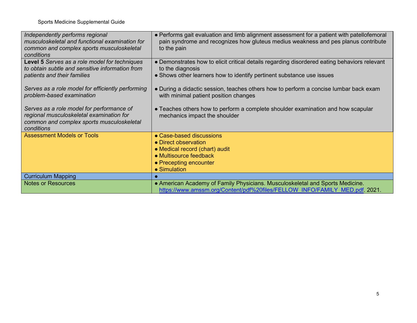| Independently performs regional<br>musculoskeletal and functional examination for<br>common and complex sports musculoskeletal<br>conditions     | • Performs gait evaluation and limb alignment assessment for a patient with patellofemoral<br>pain syndrome and recognizes how gluteus medius weakness and pes planus contribute<br>to the pain |
|--------------------------------------------------------------------------------------------------------------------------------------------------|-------------------------------------------------------------------------------------------------------------------------------------------------------------------------------------------------|
| Level 5 Serves as a role model for techniques<br>to obtain subtle and sensitive information from<br>patients and their families                  | • Demonstrates how to elicit critical details regarding disordered eating behaviors relevant<br>to the diagnosis<br>• Shows other learners how to identify pertinent substance use issues       |
|                                                                                                                                                  |                                                                                                                                                                                                 |
| Serves as a role model for efficiently performing<br>problem-based examination                                                                   | • During a didactic session, teaches others how to perform a concise lumbar back exam<br>with minimal patient position changes                                                                  |
| Serves as a role model for performance of<br>regional musculoskeletal examination for<br>common and complex sports musculoskeletal<br>conditions | • Teaches others how to perform a complete shoulder examination and how scapular<br>mechanics impact the shoulder                                                                               |
| <b>Assessment Models or Tools</b>                                                                                                                | • Case-based discussions                                                                                                                                                                        |
|                                                                                                                                                  | • Direct observation<br>• Medical record (chart) audit                                                                                                                                          |
|                                                                                                                                                  | • Multisource feedback                                                                                                                                                                          |
|                                                                                                                                                  | • Precepting encounter                                                                                                                                                                          |
|                                                                                                                                                  | • Simulation                                                                                                                                                                                    |
| <b>Curriculum Mapping</b>                                                                                                                        |                                                                                                                                                                                                 |
| <b>Notes or Resources</b>                                                                                                                        | • American Academy of Family Physicians. Musculoskeletal and Sports Medicine.<br>https://www.amssm.org/Content/pdf%20files/FELLOW INFO/FAMILY MED.pdf. 2021.                                    |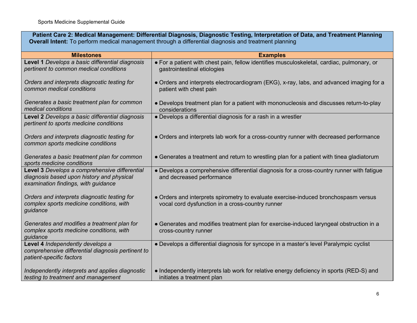**Patient Care 2: Medical Management: Differential Diagnosis, Diagnostic Testing, Interpretation of Data, and Treatment Planning Overall Intent:** To perform medical management through a differential diagnosis and treatment planning

| <b>Milestones</b>                                                                                                                 | <b>Examples</b>                                                                                                                         |
|-----------------------------------------------------------------------------------------------------------------------------------|-----------------------------------------------------------------------------------------------------------------------------------------|
| Level 1 Develops a basic differential diagnosis<br>pertinent to common medical conditions                                         | • For a patient with chest pain, fellow identifies musculoskeletal, cardiac, pulmonary, or<br>gastrointestinal etiologies               |
| Orders and interprets diagnostic testing for<br>common medical conditions                                                         | • Orders and interprets electrocardiogram (EKG), x-ray, labs, and advanced imaging for a<br>patient with chest pain                     |
| Generates a basic treatment plan for common<br>medical conditions                                                                 | • Develops treatment plan for a patient with mononucleosis and discusses return-to-play<br>considerations                               |
| Level 2 Develops a basic differential diagnosis<br>pertinent to sports medicine conditions                                        | • Develops a differential diagnosis for a rash in a wrestler                                                                            |
| Orders and interprets diagnostic testing for<br>common sports medicine conditions                                                 | • Orders and interprets lab work for a cross-country runner with decreased performance                                                  |
| Generates a basic treatment plan for common<br>sports medicine conditions                                                         | • Generates a treatment and return to wrestling plan for a patient with tinea gladiatorum                                               |
| Level 3 Develops a comprehensive differential<br>diagnosis based upon history and physical<br>examination findings, with guidance | • Develops a comprehensive differential diagnosis for a cross-country runner with fatigue<br>and decreased performance                  |
| Orders and interprets diagnostic testing for<br>complex sports medicine conditions, with<br>guidance                              | • Orders and interprets spirometry to evaluate exercise-induced bronchospasm versus<br>vocal cord dysfunction in a cross-country runner |
| Generates and modifies a treatment plan for<br>complex sports medicine conditions, with<br>guidance                               | • Generates and modifies treatment plan for exercise-induced laryngeal obstruction in a<br>cross-country runner                         |
| Level 4 Independently develops a<br>comprehensive differential diagnosis pertinent to<br>patient-specific factors                 | • Develops a differential diagnosis for syncope in a master's level Paralympic cyclist                                                  |
| Independently interprets and applies diagnostic<br>testing to treatment and management                                            | • Independently interprets lab work for relative energy deficiency in sports (RED-S) and<br>initiates a treatment plan                  |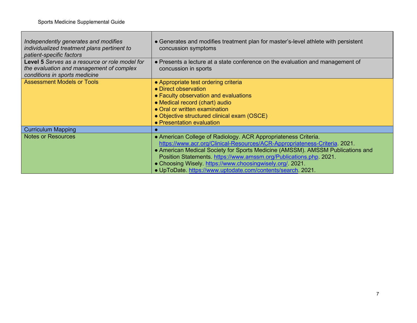Л

| Independently generates and modifies<br>individualized treatment plans pertinent to<br>patient-specific factors             | • Generates and modifies treatment plan for master's-level athlete with persistent<br>concussion symptoms                                                                                                                                                                                                                                                                                                                        |
|-----------------------------------------------------------------------------------------------------------------------------|----------------------------------------------------------------------------------------------------------------------------------------------------------------------------------------------------------------------------------------------------------------------------------------------------------------------------------------------------------------------------------------------------------------------------------|
| Level 5 Serves as a resource or role model for<br>the evaluation and management of complex<br>conditions in sports medicine | • Presents a lecture at a state conference on the evaluation and management of<br>concussion in sports                                                                                                                                                                                                                                                                                                                           |
| <b>Assessment Models or Tools</b>                                                                                           | • Appropriate test ordering criteria<br>• Direct observation<br>• Faculty observation and evaluations<br>• Medical record (chart) audio<br>• Oral or written examination<br>• Objective structured clinical exam (OSCE)<br>• Presentation evaluation                                                                                                                                                                             |
| <b>Curriculum Mapping</b>                                                                                                   |                                                                                                                                                                                                                                                                                                                                                                                                                                  |
| <b>Notes or Resources</b>                                                                                                   | • American College of Radiology. ACR Appropriateness Criteria.<br>https://www.acr.org/Clinical-Resources/ACR-Appropriateness-Criteria. 2021.<br>• American Medical Society for Sports Medicine (AMSSM). AMSSM Publications and<br>Position Statements. https://www.amssm.org/Publications.php. 2021.<br>• Choosing Wisely. https://www.choosingwisely.org/. 2021.<br>. UpToDate. https://www.uptodate.com/contents/search. 2021. |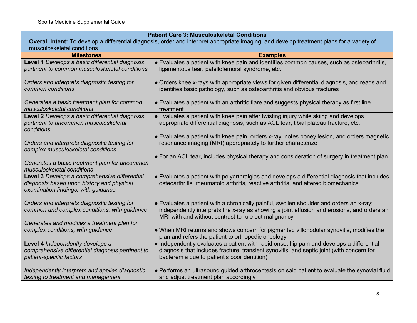| <b>Patient Care 3: Musculoskeletal Conditions</b>                                                                                          |                                                                                                |
|--------------------------------------------------------------------------------------------------------------------------------------------|------------------------------------------------------------------------------------------------|
| Overall Intent: To develop a differential diagnosis, order and interpret appropriate imaging, and develop treatment plans for a variety of |                                                                                                |
| musculoskeletal conditions                                                                                                                 |                                                                                                |
| <b>Milestones</b>                                                                                                                          | <b>Examples</b>                                                                                |
| Level 1 Develops a basic differential diagnosis                                                                                            | • Evaluates a patient with knee pain and identifies common causes, such as osteoarthritis,     |
| pertinent to common musculoskeletal conditions                                                                                             | ligamentous tear, patellofemoral syndrome, etc.                                                |
|                                                                                                                                            |                                                                                                |
| Orders and interprets diagnostic testing for<br>common conditions                                                                          | • Orders knee x-rays with appropriate views for given differential diagnosis, and reads and    |
|                                                                                                                                            | identifies basic pathology, such as osteoarthritis and obvious fractures                       |
| Generates a basic treatment plan for common                                                                                                | • Evaluates a patient with an arthritic flare and suggests physical therapy as first line      |
| musculoskeletal conditions                                                                                                                 | treatment                                                                                      |
| Level 2 Develops a basic differential diagnosis                                                                                            | • Evaluates a patient with knee pain after twisting injury while skiing and develops           |
| pertinent to uncommon musculoskeletal                                                                                                      | appropriate differential diagnosis, such as ACL tear, tibial plateau fracture, etc.            |
| conditions                                                                                                                                 |                                                                                                |
|                                                                                                                                            | • Evaluates a patient with knee pain, orders x-ray, notes boney lesion, and orders magnetic    |
| Orders and interprets diagnostic testing for                                                                                               | resonance imaging (MRI) appropriately to further characterize                                  |
| complex musculoskeletal conditions                                                                                                         |                                                                                                |
|                                                                                                                                            | • For an ACL tear, includes physical therapy and consideration of surgery in treatment plan    |
| Generates a basic treatment plan for uncommon                                                                                              |                                                                                                |
| musculoskeletal conditions                                                                                                                 |                                                                                                |
| Level 3 Develops a comprehensive differential                                                                                              | • Evaluates a patient with polyarthralgias and develops a differential diagnosis that includes |
| diagnosis based upon history and physical                                                                                                  | osteoarthritis, rheumatoid arthritis, reactive arthritis, and altered biomechanics             |
| examination findings, with guidance                                                                                                        |                                                                                                |
| Orders and interprets diagnostic testing for                                                                                               | • Evaluates a patient with a chronically painful, swollen shoulder and orders an x-ray;        |
| common and complex conditions, with guidance                                                                                               | independently interprets the x-ray as showing a joint effusion and erosions, and orders an     |
|                                                                                                                                            | MRI with and without contrast to rule out malignancy                                           |
| Generates and modifies a treatment plan for                                                                                                |                                                                                                |
| complex conditions, with guidance                                                                                                          | . When MRI returns and shows concern for pigmented villonodular synovitis, modifies the        |
|                                                                                                                                            | plan and refers the patient to orthopedic oncology                                             |
| Level 4 Independently develops a                                                                                                           | • Independently evaluates a patient with rapid onset hip pain and develops a differential      |
| comprehensive differential diagnosis pertinent to                                                                                          | diagnosis that includes fracture, transient synovitis, and septic joint (with concern for      |
| patient-specific factors                                                                                                                   | bacteremia due to patient's poor dentition)                                                    |
|                                                                                                                                            |                                                                                                |
| Independently interprets and applies diagnostic                                                                                            | • Performs an ultrasound guided arthrocentesis on said patient to evaluate the synovial fluid  |
| testing to treatment and management                                                                                                        | and adjust treatment plan accordingly                                                          |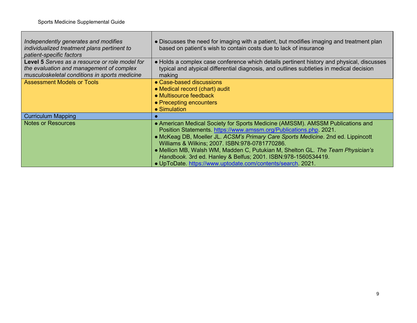| Independently generates and modifies<br>individualized treatment plans pertinent to<br>patient-specific factors                             | • Discusses the need for imaging with a patient, but modifies imaging and treatment plan<br>based on patient's wish to contain costs due to lack of insurance                                                                            |
|---------------------------------------------------------------------------------------------------------------------------------------------|------------------------------------------------------------------------------------------------------------------------------------------------------------------------------------------------------------------------------------------|
| Level 5 Serves as a resource or role model for<br>the evaluation and management of complex<br>musculoskeletal conditions in sports medicine | • Holds a complex case conference which details pertinent history and physical, discusses<br>typical and atypical differential diagnosis, and outlines subtleties in medical decision<br>making                                          |
| <b>Assessment Models or Tools</b>                                                                                                           | • Case-based discussions                                                                                                                                                                                                                 |
|                                                                                                                                             | • Medical record (chart) audit                                                                                                                                                                                                           |
|                                                                                                                                             | • Multisource feedback                                                                                                                                                                                                                   |
|                                                                                                                                             | • Precepting encounters                                                                                                                                                                                                                  |
|                                                                                                                                             | $\bullet$ Simulation                                                                                                                                                                                                                     |
| <b>Curriculum Mapping</b>                                                                                                                   |                                                                                                                                                                                                                                          |
| <b>Notes or Resources</b>                                                                                                                   | • American Medical Society for Sports Medicine (AMSSM). AMSSM Publications and<br>Position Statements. https://www.amssm.org/Publications.php. 2021.<br>• McKeag DB, Moeller JL. ACSM's Primary Care Sports Medicine. 2nd ed. Lippincott |
|                                                                                                                                             | Williams & Wilkins; 2007. ISBN: 978-0781770286.                                                                                                                                                                                          |
|                                                                                                                                             | • Mellion MB, Walsh WM, Madden C, Putukian M, Shelton GL. The Team Physician's                                                                                                                                                           |
|                                                                                                                                             | Handbook. 3rd ed. Hanley & Belfus; 2001. ISBN: 978-1560534419.                                                                                                                                                                           |
|                                                                                                                                             | . UpToDate. https://www.uptodate.com/contents/search. 2021.                                                                                                                                                                              |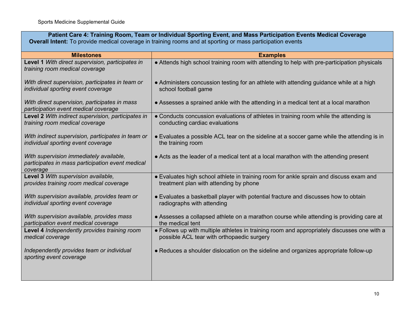| Patient Care 4: Training Room, Team or Individual Sporting Event, and Mass Participation Events Medical Coverage<br><b>Overall Intent:</b> To provide medical coverage in training rooms and at sporting or mass participation events |                                                                                             |  |
|---------------------------------------------------------------------------------------------------------------------------------------------------------------------------------------------------------------------------------------|---------------------------------------------------------------------------------------------|--|
| <b>Milestones</b>                                                                                                                                                                                                                     | <b>Examples</b>                                                                             |  |
| Level 1 With direct supervision, participates in<br>training room medical coverage                                                                                                                                                    | • Attends high school training room with attending to help with pre-participation physicals |  |
| With direct supervision, participates in team or                                                                                                                                                                                      | • Administers concussion testing for an athlete with attending guidance while at a high     |  |
| individual sporting event coverage                                                                                                                                                                                                    | school football game                                                                        |  |
| With direct supervision, participates in mass<br>participation event medical coverage                                                                                                                                                 | • Assesses a sprained ankle with the attending in a medical tent at a local marathon        |  |
| Level 2 With indirect supervision, participates in                                                                                                                                                                                    | • Conducts concussion evaluations of athletes in training room while the attending is       |  |
| training room medical coverage                                                                                                                                                                                                        | conducting cardiac evaluations                                                              |  |
| With indirect supervision, participates in team or                                                                                                                                                                                    | • Evaluates a possible ACL tear on the sideline at a soccer game while the attending is in  |  |
| individual sporting event coverage                                                                                                                                                                                                    | the training room                                                                           |  |
| With supervision immediately available,<br>participates in mass participation event medical<br>coverage                                                                                                                               | • Acts as the leader of a medical tent at a local marathon with the attending present       |  |
| Level 3 With supervision available,                                                                                                                                                                                                   | • Evaluates high school athlete in training room for ankle sprain and discuss exam and      |  |
| provides training room medical coverage                                                                                                                                                                                               | treatment plan with attending by phone                                                      |  |
| With supervision available, provides team or                                                                                                                                                                                          | • Evaluates a basketball player with potential fracture and discusses how to obtain         |  |
| individual sporting event coverage                                                                                                                                                                                                    | radiographs with attending                                                                  |  |
| With supervision available, provides mass                                                                                                                                                                                             | • Assesses a collapsed athlete on a marathon course while attending is providing care at    |  |
| participation event medical coverage                                                                                                                                                                                                  | the medical tent                                                                            |  |
| Level 4 Independently provides training room                                                                                                                                                                                          | • Follows up with multiple athletes in training room and appropriately discusses one with a |  |
| medical coverage                                                                                                                                                                                                                      | possible ACL tear with orthopaedic surgery                                                  |  |
| Independently provides team or individual<br>sporting event coverage                                                                                                                                                                  | • Reduces a shoulder dislocation on the sideline and organizes appropriate follow-up        |  |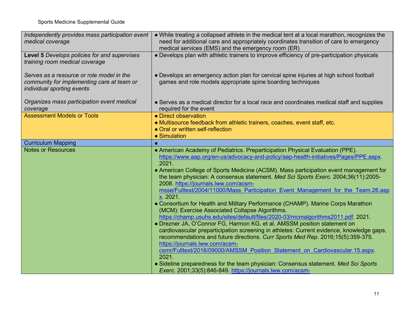| Independently provides mass participation event<br>medical coverage                                                   | • While treating a collapsed athlete in the medical tent at a local marathon, recognizes the<br>need for additional care and appropriately coordinates transition of care to emergency<br>medical services (EMS) and the emergency room (ER)                                                                                                                                                                                                                                                                                                                                                                                                                                                                                                                                                                                                                                                                                                                                                                                                                                                                                                                                                                                                                            |
|-----------------------------------------------------------------------------------------------------------------------|-------------------------------------------------------------------------------------------------------------------------------------------------------------------------------------------------------------------------------------------------------------------------------------------------------------------------------------------------------------------------------------------------------------------------------------------------------------------------------------------------------------------------------------------------------------------------------------------------------------------------------------------------------------------------------------------------------------------------------------------------------------------------------------------------------------------------------------------------------------------------------------------------------------------------------------------------------------------------------------------------------------------------------------------------------------------------------------------------------------------------------------------------------------------------------------------------------------------------------------------------------------------------|
| Level 5 Develops policies for and supervises<br>training room medical coverage                                        | • Develops plan with athletic trainers to improve efficiency of pre-participation physicals                                                                                                                                                                                                                                                                                                                                                                                                                                                                                                                                                                                                                                                                                                                                                                                                                                                                                                                                                                                                                                                                                                                                                                             |
| Serves as a resource or role model in the<br>community for implementing care at team or<br>individual sporting events | • Develops an emergency action plan for cervical spine injuries at high school football<br>games and role models appropriate spine boarding techniques                                                                                                                                                                                                                                                                                                                                                                                                                                                                                                                                                                                                                                                                                                                                                                                                                                                                                                                                                                                                                                                                                                                  |
| Organizes mass participation event medical<br>coverage                                                                | • Serves as a medical director for a local race and coordinates medical staff and supplies<br>required for the event                                                                                                                                                                                                                                                                                                                                                                                                                                                                                                                                                                                                                                                                                                                                                                                                                                                                                                                                                                                                                                                                                                                                                    |
| <b>Assessment Models or Tools</b>                                                                                     | • Direct observation<br>• Multisource feedback from athletic trainers, coaches, event staff, etc.<br>• Oral or written self-reflection<br>• Simulation                                                                                                                                                                                                                                                                                                                                                                                                                                                                                                                                                                                                                                                                                                                                                                                                                                                                                                                                                                                                                                                                                                                  |
| <b>Curriculum Mapping</b>                                                                                             |                                                                                                                                                                                                                                                                                                                                                                                                                                                                                                                                                                                                                                                                                                                                                                                                                                                                                                                                                                                                                                                                                                                                                                                                                                                                         |
| <b>Notes or Resources</b>                                                                                             | • American Academy of Pediatrics. Preparticipation Physical Evaluation (PPE).<br>https://www.aap.org/en-us/advocacy-and-policy/aap-health-initiatives/Pages/PPE.aspx.<br>2021.<br>• American College of Sports Medicine (ACSM). Mass participation event management for<br>the team physician: A consensus statement. Med Sci Sports Exerc. 2004;36(11):2005-<br>2008. https://journals.lww.com/acsm-<br>msse/Fulltext/2004/11000/Mass Participation Event Management for the Team.26.asp<br>x 2021.<br>• Consortium for Health and Military Performance (CHAMP). Marine Corps Marathon<br>(MCM): Exercise Associated Collapse Algorithms.<br>https://champ.usuhs.edu/sites/default/files/2020-03/mcmalgorithms2011.pdf 2021.<br>• Drezner JA, O'Connor FG, Harmon KG, et al. AMSSM position statement on<br>cardiovascular preparticipation screening in athletes: Current evidence, knowledge gaps,<br>recommendations and future directions. Curr Sports Med Rep. 2016;15(5):359-375.<br>https://journals.lww.com/acsm-<br>csmr/Fulltext/2016/09000/AMSSM Position Statement on Cardiovascular.15.aspx.<br>2021.<br>• Sideline preparedness for the team physician: Consensus statement. Med Sci Sports<br>Exerc. 2001;33(5):846-849. https://journals.lww.com/acsm- |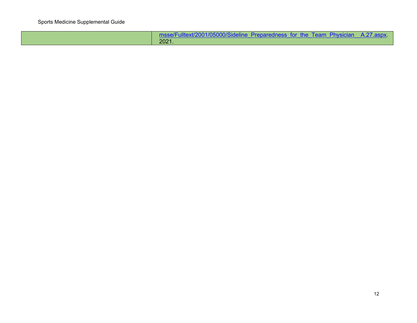| msse/Fulltext/2001/05000/Sideline Preparedness for the Team Physician A.27.aspx. |  |
|----------------------------------------------------------------------------------|--|
| 2021.                                                                            |  |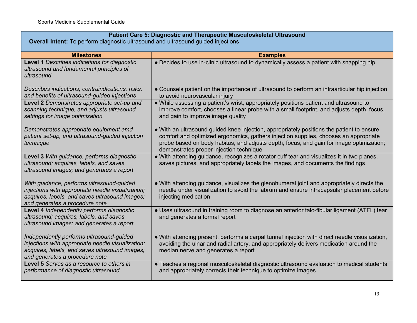| Patient Care 5: Diagnostic and Therapeutic Musculoskeletal Ultrasound<br><b>Overall Intent:</b> To perform diagnostic ultrasound and ultrasound guided injections                  |                                                                                                                                                                                                                                                                                                                         |
|------------------------------------------------------------------------------------------------------------------------------------------------------------------------------------|-------------------------------------------------------------------------------------------------------------------------------------------------------------------------------------------------------------------------------------------------------------------------------------------------------------------------|
| <b>Milestones</b>                                                                                                                                                                  | <b>Examples</b>                                                                                                                                                                                                                                                                                                         |
| Level 1 Describes indications for diagnostic<br>ultrasound and fundamental principles of<br>ultrasound                                                                             | • Decides to use in-clinic ultrasound to dynamically assess a patient with snapping hip                                                                                                                                                                                                                                 |
| Describes indications, contraindications, risks,<br>and benefits of ultrasound-guided injections                                                                                   | • Counsels patient on the importance of ultrasound to perform an intraarticular hip injection<br>to avoid neurovascular injury                                                                                                                                                                                          |
| Level 2 Demonstrates appropriate set-up and<br>scanning technique, and adjusts ultrasound<br>settings for image optimization                                                       | . While assessing a patient's wrist, appropriately positions patient and ultrasound to<br>improve comfort, chooses a linear probe with a small footprint, and adjusts depth, focus,<br>and gain to improve image quality                                                                                                |
| Demonstrates appropriate equipment amd<br>patient set-up, and ultrasound-guided injection<br>technique                                                                             | • With an ultrasound guided knee injection, appropriately positions the patient to ensure<br>comfort and optimized ergonomics, gathers injection supplies, chooses an appropriate<br>probe based on body habitus, and adjusts depth, focus, and gain for image optimization;<br>demonstrates proper injection technique |
| Level 3 With guidance, performs diagnostic<br>ultrasound; acquires, labels, and saves<br>ultrasound images; and generates a report                                                 | . With attending guidance, recognizes a rotator cuff tear and visualizes it in two planes,<br>saves pictures, and appropriately labels the images, and documents the findings                                                                                                                                           |
| With guidance, performs ultrasound-guided<br>injections with appropriate needle visualization;<br>acquires, labels, and saves ultrasound images;<br>and generates a procedure note | • With attending guidance, visualizes the glenohumeral joint and appropriately directs the<br>needle under visualization to avoid the labrum and ensure intracapsular placement before<br>injecting medication                                                                                                          |
| Level 4 Independently performs diagnostic<br>ultrasound; acquires, labels, and saves<br>ultrasound images; and generates a report                                                  | • Uses ultrasound in training room to diagnose an anterior talo-fibular ligament (ATFL) tear<br>and generates a formal report                                                                                                                                                                                           |
| Independently performs ultrasound-quided<br>injections with appropriate needle visualization;<br>acquires, labels, and saves ultrasound images;<br>and generates a procedure note  | • With attending present, performs a carpal tunnel injection with direct needle visualization,<br>avoiding the ulnar and radial artery, and appropriately delivers medication around the<br>median nerve and generates a report                                                                                         |
| <b>Level 5</b> Serves as a resource to others in<br>performance of diagnostic ultrasound                                                                                           | • Teaches a regional musculoskeletal diagnostic ultrasound evaluation to medical students<br>and appropriately corrects their technique to optimize images                                                                                                                                                              |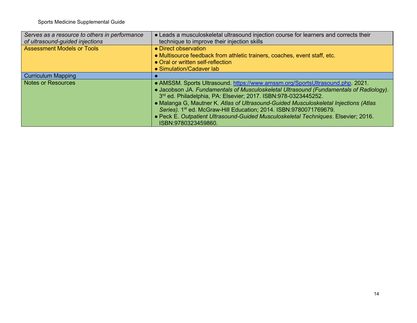| Serves as a resource to others in performance<br>of ultrasound-guided injections | • Leads a musculoskeletal ultrasound injection course for learners and corrects their<br>technique to improve their injection skills                                                                                                                                                                                                                                                                                                                                                                                |
|----------------------------------------------------------------------------------|---------------------------------------------------------------------------------------------------------------------------------------------------------------------------------------------------------------------------------------------------------------------------------------------------------------------------------------------------------------------------------------------------------------------------------------------------------------------------------------------------------------------|
| <b>Assessment Models or Tools</b>                                                | • Direct observation<br>• Multisource feedback from athletic trainers, coaches, event staff, etc.<br>• Oral or written self-reflection<br>• Simulation/Cadaver lab                                                                                                                                                                                                                                                                                                                                                  |
| <b>Curriculum Mapping</b>                                                        |                                                                                                                                                                                                                                                                                                                                                                                                                                                                                                                     |
| <b>Notes or Resources</b>                                                        | • AMSSM. Sports Ultrasound. https://www.amssm.org/SportsUltrasound.php. 2021.<br>• Jacobson JA. Fundamentals of Musculoskeletal Ultrasound (Fundamentals of Radiology).<br>3rd ed. Philadelphia, PA: Elsevier; 2017. ISBN:978-0323445252.<br>• Malanga G, Mautner K. Atlas of Ultrasound-Guided Musculoskeletal Injections (Atlas<br>Series). 1st ed. McGraw-Hill Education; 2014. ISBN:9780071769679.<br>· Peck E. Outpatient Ultrasound-Guided Musculoskeletal Techniques. Elsevier; 2016.<br>ISBN:9780323459860. |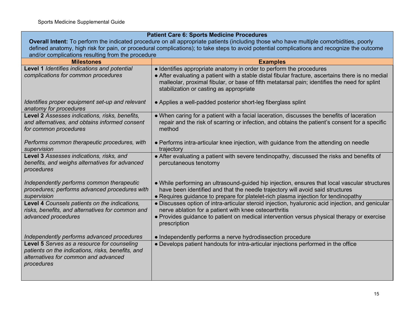| <b>Patient Care 6: Sports Medicine Procedures</b>                                                                                                                                                |                                                                                                                                                                                                                                                                       |  |
|--------------------------------------------------------------------------------------------------------------------------------------------------------------------------------------------------|-----------------------------------------------------------------------------------------------------------------------------------------------------------------------------------------------------------------------------------------------------------------------|--|
| Overall Intent: To perform the indicated procedure on all appropriate patients (including those who have multiple comorbidities, poorly                                                          |                                                                                                                                                                                                                                                                       |  |
| defined anatomy, high risk for pain, or procedural complications); to take steps to avoid potential complications and recognize the outcome<br>and/or complications resulting from the procedure |                                                                                                                                                                                                                                                                       |  |
| <b>Milestones</b>                                                                                                                                                                                | <b>Examples</b>                                                                                                                                                                                                                                                       |  |
| Level 1 Identifies indications and potential                                                                                                                                                     | • Identifies appropriate anatomy in order to perform the procedures                                                                                                                                                                                                   |  |
| complications for common procedures                                                                                                                                                              | • After evaluating a patient with a stable distal fibular fracture, ascertains there is no medial<br>malleolar, proximal fibular, or base of fifth metatarsal pain; identifies the need for splint<br>stabilization or casting as appropriate                         |  |
| Identifies proper equipment set-up and relevant<br>anatomy for procedures                                                                                                                        | • Applies a well-padded posterior short-leg fiberglass splint                                                                                                                                                                                                         |  |
| Level 2 Assesses indications, risks, benefits,<br>and alternatives, and obtains informed consent<br>for common procedures                                                                        | • When caring for a patient with a facial laceration, discusses the benefits of laceration<br>repair and the risk of scarring or infection, and obtains the patient's consent for a specific<br>method                                                                |  |
| Performs common therapeutic procedures, with<br>supervision                                                                                                                                      | • Performs intra-articular knee injection, with guidance from the attending on needle<br>trajectory                                                                                                                                                                   |  |
| Level 3 Assesses indications, risks, and<br>benefits, and weighs alternatives for advanced<br>procedures                                                                                         | • After evaluating a patient with severe tendinopathy, discussed the risks and benefits of<br>percutaneous tenotomy                                                                                                                                                   |  |
| Independently performs common therapeutic<br>procedures; performs advanced procedures with<br>supervision                                                                                        | • While performing an ultrasound-guided hip injection, ensures that local vascular structures<br>have been identified and that the needle trajectory will avoid said structures<br>• Requires guidance to prepare for platelet-rich plasma injection for tendinopathy |  |
| Level 4 Counsels patients on the indications,<br>risks, benefits, and alternatives for common and                                                                                                | • Discusses option of intra-articular steroid injection, hyaluronic acid injection, and genicular<br>nerve ablation for a patient with knee osteoarthritis                                                                                                            |  |
| advanced procedures                                                                                                                                                                              | • Provides guidance to patient on medical intervention versus physical therapy or exercise<br>prescription                                                                                                                                                            |  |
| Independently performs advanced procedures                                                                                                                                                       | • Independently performs a nerve hydrodissection procedure                                                                                                                                                                                                            |  |
| patients on the indications, risks, benefits, and<br>alternatives for common and advanced<br>procedures                                                                                          | • Develops patient handouts for intra-articular injections performed in the office                                                                                                                                                                                    |  |
| Level 5 Serves as a resource for counseling                                                                                                                                                      |                                                                                                                                                                                                                                                                       |  |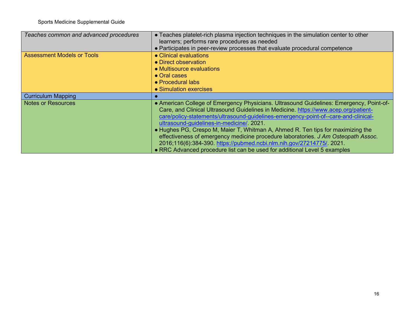| Teaches common and advanced procedures | • Teaches platelet-rich plasma injection techniques in the simulation center to other<br>learners; performs rare procedures as needed                                                                                                                                                                             |
|----------------------------------------|-------------------------------------------------------------------------------------------------------------------------------------------------------------------------------------------------------------------------------------------------------------------------------------------------------------------|
|                                        | • Participates in peer-review processes that evaluate procedural competence                                                                                                                                                                                                                                       |
| <b>Assessment Models or Tools</b>      | • Clinical evaluations                                                                                                                                                                                                                                                                                            |
|                                        | • Direct observation                                                                                                                                                                                                                                                                                              |
|                                        | • Multisource evaluations                                                                                                                                                                                                                                                                                         |
|                                        | • Oral cases                                                                                                                                                                                                                                                                                                      |
|                                        | • Procedural labs                                                                                                                                                                                                                                                                                                 |
|                                        | • Simulation exercises                                                                                                                                                                                                                                                                                            |
| <b>Curriculum Mapping</b>              |                                                                                                                                                                                                                                                                                                                   |
| <b>Notes or Resources</b>              | • American College of Emergency Physicians. Ultrasound Guidelines: Emergency, Point-of-<br>Care, and Clinical Ultrasound Guidelines in Medicine. https://www.acep.org/patient-<br>care/policy-statements/ultrasound-guidelines-emergency-point-of--care-and-clinical-<br>ultrasound-guidelines-in-medicine/ 2021. |
|                                        | • Hughes PG, Crespo M, Maier T, Whitman A, Ahmed R. Ten tips for maximizing the                                                                                                                                                                                                                                   |
|                                        | effectiveness of emergency medicine procedure laboratories. J Am Osteopath Assoc.<br>2016;116(6):384-390. https://pubmed.ncbi.nlm.nih.gov/27214775/ 2021.<br>• RRC Advanced procedure list can be used for additional Level 5 examples                                                                            |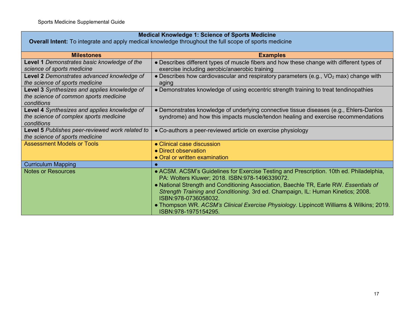| <b>Medical Knowledge 1: Science of Sports Medicine</b>                                                |                                                                                                                                                                                                                                                                                                                                                                                                                                                                    |
|-------------------------------------------------------------------------------------------------------|--------------------------------------------------------------------------------------------------------------------------------------------------------------------------------------------------------------------------------------------------------------------------------------------------------------------------------------------------------------------------------------------------------------------------------------------------------------------|
| Overall Intent: To integrate and apply medical knowledge throughout the full scope of sports medicine |                                                                                                                                                                                                                                                                                                                                                                                                                                                                    |
| <b>Milestones</b>                                                                                     | <b>Examples</b>                                                                                                                                                                                                                                                                                                                                                                                                                                                    |
| Level 1 Demonstrates basic knowledge of the<br>science of sports medicine                             | • Describes different types of muscle fibers and how these change with different types of<br>exercise including aerobic/anaerobic training                                                                                                                                                                                                                                                                                                                         |
| Level 2 Demonstrates advanced knowledge of<br>the science of sports medicine                          | • Describes how cardiovascular and respiratory parameters (e.g., $VO2$ max) change with<br>aging                                                                                                                                                                                                                                                                                                                                                                   |
| Level 3 Synthesizes and applies knowledge of<br>the science of common sports medicine<br>conditions   | • Demonstrates knowledge of using eccentric strength training to treat tendinopathies                                                                                                                                                                                                                                                                                                                                                                              |
| Level 4 Synthesizes and applies knowledge of<br>the science of complex sports medicine<br>conditions  | • Demonstrates knowledge of underlying connective tissue diseases (e.g., Ehlers-Danlos<br>syndrome) and how this impacts muscle/tendon healing and exercise recommendations                                                                                                                                                                                                                                                                                        |
| Level 5 Publishes peer-reviewed work related to<br>the science of sports medicine                     | • Co-authors a peer-reviewed article on exercise physiology                                                                                                                                                                                                                                                                                                                                                                                                        |
| <b>Assessment Models or Tools</b>                                                                     | • Clinical case discussion                                                                                                                                                                                                                                                                                                                                                                                                                                         |
|                                                                                                       | • Direct observation                                                                                                                                                                                                                                                                                                                                                                                                                                               |
|                                                                                                       | • Oral or written examination                                                                                                                                                                                                                                                                                                                                                                                                                                      |
| <b>Curriculum Mapping</b>                                                                             |                                                                                                                                                                                                                                                                                                                                                                                                                                                                    |
| <b>Notes or Resources</b>                                                                             | • ACSM. ACSM's Guidelines for Exercise Testing and Prescription. 10th ed. Philadelphia,<br>PA: Wolters Kluwer; 2018. ISBN:978-1496339072.<br>• National Strength and Conditioning Association, Baechle TR, Earle RW. Essentials of<br>Strength Training and Conditioning. 3rd ed. Champaign, IL: Human Kinetics; 2008.<br>ISBN:978-0736058032.<br>. Thompson WR. ACSM's Clinical Exercise Physiology. Lippincott Williams & Wilkins; 2019.<br>ISBN:978-1975154295. |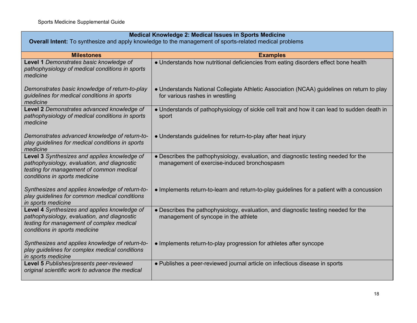| Medical Knowledge 2: Medical Issues in Sports Medicine                                                                                                                    |                                                                                                                                   |
|---------------------------------------------------------------------------------------------------------------------------------------------------------------------------|-----------------------------------------------------------------------------------------------------------------------------------|
| <b>Overall Intent:</b> To synthesize and apply knowledge to the management of sports-related medical problems                                                             |                                                                                                                                   |
| <b>Milestones</b>                                                                                                                                                         | <b>Examples</b>                                                                                                                   |
| Level 1 Demonstrates basic knowledge of<br>pathophysiology of medical conditions in sports<br>medicine                                                                    | • Understands how nutritional deficiencies from eating disorders effect bone health                                               |
| Demonstrates basic knowledge of return-to-play<br>guidelines for medical conditions in sports<br>medicine                                                                 | • Understands National Collegiate Athletic Association (NCAA) guidelines on return to play<br>for various rashes in wrestling     |
| Level 2 Demonstrates advanced knowledge of<br>pathophysiology of medical conditions in sports<br>medicine                                                                 | • Understands of pathophysiology of sickle cell trait and how it can lead to sudden death in<br>sport                             |
| Demonstrates advanced knowledge of return-to-<br>play guidelines for medical conditions in sports<br>medicine                                                             | • Understands guidelines for return-to-play after heat injury                                                                     |
| Level 3 Synthesizes and applies knowledge of<br>pathophysiology, evaluation, and diagnostic<br>testing for management of common medical<br>conditions in sports medicine  | • Describes the pathophysiology, evaluation, and diagnostic testing needed for the<br>management of exercise-induced bronchospasm |
| Synthesizes and applies knowledge of return-to-<br>play guidelines for common medical conditions<br>in sports medicine                                                    | • Implements return-to-learn and return-to-play guidelines for a patient with a concussion                                        |
| Level 4 Synthesizes and applies knowledge of<br>pathophysiology, evaluation, and diagnostic<br>testing for management of complex medical<br>conditions in sports medicine | • Describes the pathophysiology, evaluation, and diagnostic testing needed for the<br>management of syncope in the athlete        |
| Synthesizes and applies knowledge of return-to-<br>play guidelines for complex medical conditions<br>in sports medicine                                                   | • Implements return-to-play progression for athletes after syncope                                                                |
| Level 5 Publishes/presents peer-reviewed<br>original scientific work to advance the medical                                                                               | • Publishes a peer-reviewed journal article on infectious disease in sports                                                       |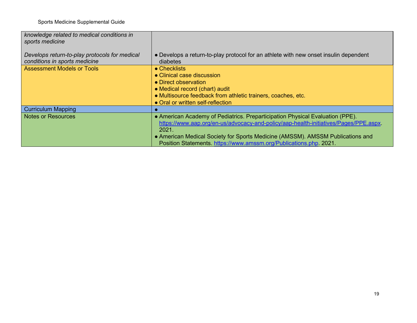| knowledge related to medical conditions in<br>sports medicine                  |                                                                                                                                                                                                                                                                                                                                        |
|--------------------------------------------------------------------------------|----------------------------------------------------------------------------------------------------------------------------------------------------------------------------------------------------------------------------------------------------------------------------------------------------------------------------------------|
| Develops return-to-play protocols for medical<br>conditions in sports medicine | • Develops a return-to-play protocol for an athlete with new onset insulin dependent<br>diabetes                                                                                                                                                                                                                                       |
| <b>Assessment Models or Tools</b>                                              | $\bullet$ Checklists<br>• Clinical case discussion<br>• Direct observation<br>• Medical record (chart) audit<br>• Multisource feedback from athletic trainers, coaches, etc.<br>• Oral or written self-reflection                                                                                                                      |
| <b>Curriculum Mapping</b>                                                      |                                                                                                                                                                                                                                                                                                                                        |
| <b>Notes or Resources</b>                                                      | • American Academy of Pediatrics. Preparticipation Physical Evaluation (PPE).<br>https://www.aap.org/en-us/advocacy-and-policy/aap-health-initiatives/Pages/PPE.aspx.<br>2021.<br>• American Medical Society for Sports Medicine (AMSSM). AMSSM Publications and<br>Position Statements. https://www.amssm.org/Publications.php. 2021. |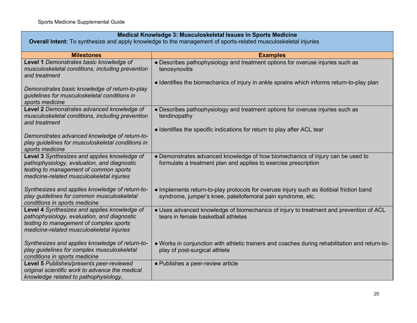| Medical Knowledge 3: Musculoskeletal Issues in Sports Medicine<br>Overall Intent: To synthesize and apply knowledge to the management of sports-related musculoskeletal injuries    |                                                                                                                                                                                               |
|-------------------------------------------------------------------------------------------------------------------------------------------------------------------------------------|-----------------------------------------------------------------------------------------------------------------------------------------------------------------------------------------------|
|                                                                                                                                                                                     |                                                                                                                                                                                               |
| <b>Milestones</b>                                                                                                                                                                   | <b>Examples</b>                                                                                                                                                                               |
| Level 1 Demonstrates basic knowledge of<br>musculoskeletal conditions, including prevention<br>and treatment                                                                        | • Describes pathophysiology and treatment options for overuse injuries such as<br>tenosynovitis<br>• Identifies the biomechanics of injury in ankle sprains which informs return-to-play plan |
| Demonstrates basic knowledge of return-to-play<br>guidelines for musculoskeletal conditions in<br>sports medicine                                                                   |                                                                                                                                                                                               |
| Level 2 Demonstrates advanced knowledge of<br>musculoskeletal conditions, including prevention<br>and treatment                                                                     | • Describes pathophysiology and treatment options for overuse injuries such as<br>tendinopathy                                                                                                |
| Demonstrates advanced knowledge of return-to-<br>play guidelines for musculoskeletal conditions in<br>sports medicine                                                               | • Identifies the specific indications for return to play after ACL tear                                                                                                                       |
| Level 3 Synthesizes and applies knowledge of<br>pathophysiology, evaluation, and diagnostic<br>testing to management of common sports<br>medicine-related musculoskeletal injuries  | • Demonstrates advanced knowledge of how biomechanics of injury can be used to<br>formulate a treatment plan and applies to exercise prescription                                             |
| Synthesizes and applies knowledge of return-to-<br>play guidelines for common musculoskeletal<br>conditions in sports medicine                                                      | • Implements return-to-play protocols for overuse injury such as iliotibial friction band<br>syndrome, jumper's knee, patellofemoral pain syndrome, etc.                                      |
| Level 4 Synthesizes and applies knowledge of<br>pathophysiology, evaluation, and diagnostic<br>testing to management of complex sports<br>medicine-related musculoskeletal injuries | • Uses advanced knowledge of biomechanics of injury to treatment and prevention of ACL<br>tears in female basketball athletes                                                                 |
| Synthesizes and applies knowledge of return-to-<br>play guidelines for complex musculoskeletal<br>conditions in sports medicine                                                     | . Works in conjunction with athletic trainers and coaches during rehabilitation and return-to-<br>play of post-surgical athlete                                                               |
| Level 5 Publishes/presents peer-reviewed<br>original scientific work to advance the medical<br>knowledge related to pathophysiology,                                                | • Publishes a peer-review article                                                                                                                                                             |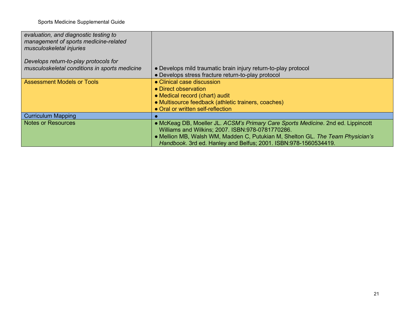| evaluation, and diagnostic testing to<br>management of sports medicine-related<br>musculoskeletal injuries |                                                                                                                                                                                                                                                                                            |
|------------------------------------------------------------------------------------------------------------|--------------------------------------------------------------------------------------------------------------------------------------------------------------------------------------------------------------------------------------------------------------------------------------------|
| Develops return-to-play protocols for                                                                      |                                                                                                                                                                                                                                                                                            |
| musculoskeletal conditions in sports medicine                                                              | • Develops mild traumatic brain injury return-to-play protocol                                                                                                                                                                                                                             |
|                                                                                                            | • Develops stress fracture return-to-play protocol                                                                                                                                                                                                                                         |
| <b>Assessment Models or Tools</b>                                                                          | • Clinical case discussion<br>• Direct observation<br>• Medical record (chart) audit<br>• Multisource feedback (athletic trainers, coaches)<br>• Oral or written self-reflection                                                                                                           |
| <b>Curriculum Mapping</b>                                                                                  |                                                                                                                                                                                                                                                                                            |
| <b>Notes or Resources</b>                                                                                  | • McKeag DB, Moeller JL. ACSM's Primary Care Sports Medicine. 2nd ed. Lippincott<br>Williams and Wilkins; 2007. ISBN:978-0781770286.<br>• Mellion MB, Walsh WM, Madden C, Putukian M, Shelton GL. The Team Physician's<br>Handbook. 3rd ed. Hanley and Belfus; 2001. ISBN: 978-1560534419. |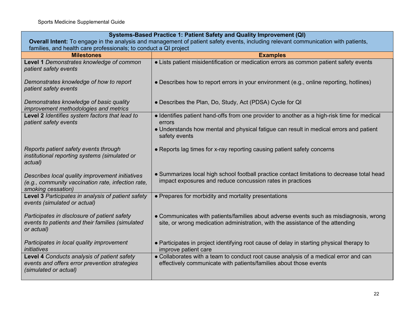| Systems-Based Practice 1: Patient Safety and Quality Improvement (QI)                                                              |                                                                                                                                                                          |
|------------------------------------------------------------------------------------------------------------------------------------|--------------------------------------------------------------------------------------------------------------------------------------------------------------------------|
| Overall Intent: To engage in the analysis and management of patient safety events, including relevant communication with patients, |                                                                                                                                                                          |
| families, and health care professionals; to conduct a QI project                                                                   |                                                                                                                                                                          |
| <b>Milestones</b>                                                                                                                  | <b>Examples</b>                                                                                                                                                          |
| Level 1 Demonstrates knowledge of common<br>patient safety events                                                                  | • Lists patient misidentification or medication errors as common patient safety events                                                                                   |
| Demonstrates knowledge of how to report<br>patient safety events                                                                   | • Describes how to report errors in your environment (e.g., online reporting, hotlines)                                                                                  |
| Demonstrates knowledge of basic quality<br>improvement methodologies and metrics                                                   | • Describes the Plan, Do, Study, Act (PDSA) Cycle for QI                                                                                                                 |
| Level 2 Identifies system factors that lead to<br>patient safety events                                                            | • Identifies patient hand-offs from one provider to another as a high-risk time for medical<br>errors                                                                    |
|                                                                                                                                    | • Understands how mental and physical fatigue can result in medical errors and patient<br>safety events                                                                  |
| Reports patient safety events through<br>institutional reporting systems (simulated or<br>actual)                                  | • Reports lag times for x-ray reporting causing patient safety concerns                                                                                                  |
| Describes local quality improvement initiatives<br>(e.g., community vaccination rate, infection rate,<br>smoking cessation)        | • Summarizes local high school football practice contact limitations to decrease total head<br>impact exposures and reduce concussion rates in practices                 |
| Level 3 Participates in analysis of patient safety<br>events (simulated or actual)                                                 | • Prepares for morbidity and mortality presentations                                                                                                                     |
| Participates in disclosure of patient safety<br>events to patients and their families (simulated<br>or actual)                     | • Communicates with patients/families about adverse events such as misdiagnosis, wrong<br>site, or wrong medication administration, with the assistance of the attending |
| Participates in local quality improvement<br>initiatives                                                                           | • Participates in project identifying root cause of delay in starting physical therapy to<br>improve patient care                                                        |
| Level 4 Conducts analysis of patient safety<br>events and offers error prevention strategies<br>(simulated or actual)              | • Collaborates with a team to conduct root cause analysis of a medical error and can<br>effectively communicate with patients/families about those events                |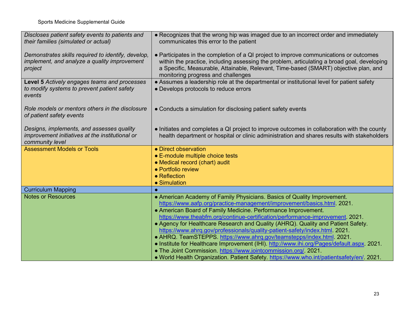| Discloses patient safety events to patients and<br>their families (simulated or actual)                         | • Recognizes that the wrong hip was imaged due to an incorrect order and immediately<br>communicates this error to the patient                                                                                                                                                                                                                                                                                                                                                                                                                                                                                                                                                                                                                                                                               |
|-----------------------------------------------------------------------------------------------------------------|--------------------------------------------------------------------------------------------------------------------------------------------------------------------------------------------------------------------------------------------------------------------------------------------------------------------------------------------------------------------------------------------------------------------------------------------------------------------------------------------------------------------------------------------------------------------------------------------------------------------------------------------------------------------------------------------------------------------------------------------------------------------------------------------------------------|
| Demonstrates skills required to identify, develop,<br>implement, and analyze a quality improvement<br>project   | • Participates in the completion of a QI project to improve communications or outcomes<br>within the practice, including assessing the problem, articulating a broad goal, developing<br>a Specific, Measurable, Attainable, Relevant, Time-based (SMART) objective plan, and<br>monitoring progress and challenges                                                                                                                                                                                                                                                                                                                                                                                                                                                                                          |
| Level 5 Actively engages teams and processes<br>to modify systems to prevent patient safety<br>events           | • Assumes a leadership role at the departmental or institutional level for patient safety<br>• Develops protocols to reduce errors                                                                                                                                                                                                                                                                                                                                                                                                                                                                                                                                                                                                                                                                           |
| Role models or mentors others in the disclosure<br>of patient safety events                                     | • Conducts a simulation for disclosing patient safety events                                                                                                                                                                                                                                                                                                                                                                                                                                                                                                                                                                                                                                                                                                                                                 |
| Designs, implements, and assesses quality<br>improvement initiatives at the institutional or<br>community level | • Initiates and completes a QI project to improve outcomes in collaboration with the county<br>health department or hospital or clinic administration and shares results with stakeholders                                                                                                                                                                                                                                                                                                                                                                                                                                                                                                                                                                                                                   |
| <b>Assessment Models or Tools</b>                                                                               | • Direct observation<br>• E-module multiple choice tests<br>• Medical record (chart) audit<br>• Portfolio review<br>• Reflection<br>• Simulation                                                                                                                                                                                                                                                                                                                                                                                                                                                                                                                                                                                                                                                             |
| <b>Curriculum Mapping</b>                                                                                       |                                                                                                                                                                                                                                                                                                                                                                                                                                                                                                                                                                                                                                                                                                                                                                                                              |
| <b>Notes or Resources</b>                                                                                       | • American Academy of Family Physicians. Basics of Quality Improvement.<br>https://www.aafp.org/practice-management/improvement/basics.html. 2021.<br>• American Board of Family Medicine. Performance Improvement.<br>https://www.theabfm.org/continue-certification/performance-improvement. 2021.<br>• Agency for Healthcare Research and Quality (AHRQ). Quality and Patient Safety.<br>https://www.ahrq.gov/professionals/quality-patient-safety/index.html 2021.<br>• AHRQ. TeamSTEPPS. https://www.ahrq.gov/teamstepps/index.html. 2021.<br>. Institute for Healthcare Improvement (IHI) http://www.ihi.org/Pages/default.aspx. 2021.<br>• The Joint Commission. https://www.jointcommission.org/. 2021.<br>. World Health Organization. Patient Safety. https://www.who.int/patientsafety/en/. 2021. |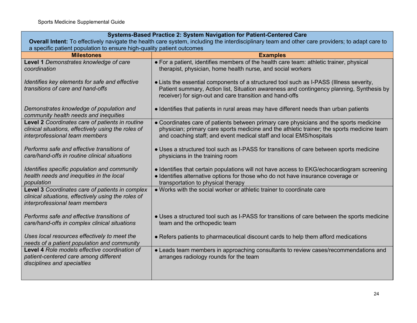|                                                                                                                                                 | Systems-Based Practice 2: System Navigation for Patient-Centered Care                                                                                                                                                                                       |  |
|-------------------------------------------------------------------------------------------------------------------------------------------------|-------------------------------------------------------------------------------------------------------------------------------------------------------------------------------------------------------------------------------------------------------------|--|
| Overall Intent: To effectively navigate the health care system, including the interdisciplinary team and other care providers; to adapt care to |                                                                                                                                                                                                                                                             |  |
| a specific patient population to ensure high-quality patient outcomes                                                                           |                                                                                                                                                                                                                                                             |  |
| <b>Milestones</b>                                                                                                                               | <b>Examples</b>                                                                                                                                                                                                                                             |  |
| Level 1 Demonstrates knowledge of care<br>coordination                                                                                          | • For a patient, identifies members of the health care team: athletic trainer, physical<br>therapist, physician, home health nurse, and social workers                                                                                                      |  |
| Identifies key elements for safe and effective<br>transitions of care and hand-offs                                                             | • Lists the essential components of a structured tool such as I-PASS (Illness severity,<br>Patient summary, Action list, Situation awareness and contingency planning, Synthesis by<br>receiver) for sign-out and care transition and hand-offs             |  |
| Demonstrates knowledge of population and<br>community health needs and inequities                                                               | • Identifies that patients in rural areas may have different needs than urban patients                                                                                                                                                                      |  |
| Level 2 Coordinates care of patients in routine<br>clinical situations, effectively using the roles of<br>interprofessional team members        | • Coordinates care of patients between primary care physicians and the sports medicine<br>physician; primary care sports medicine and the athletic trainer; the sports medicine team<br>and coaching staff; and event medical staff and local EMS/hospitals |  |
| Performs safe and effective transitions of<br>care/hand-offs in routine clinical situations                                                     | • Uses a structured tool such as I-PASS for transitions of care between sports medicine<br>physicians in the training room                                                                                                                                  |  |
| Identifies specific population and community<br>health needs and inequities in the local<br>population                                          | • Identifies that certain populations will not have access to EKG/echocardiogram screening<br>· Identifies alternative options for those who do not have insurance coverage or<br>transportation to physical therapy                                        |  |
| Level 3 Coordinates care of patients in complex<br>clinical situations, effectively using the roles of<br>interprofessional team members        | • Works with the social worker or athletic trainer to coordinate care                                                                                                                                                                                       |  |
| Performs safe and effective transitions of<br>care/hand-offs in complex clinical situations                                                     | • Uses a structured tool such as I-PASS for transitions of care between the sports medicine<br>team and the orthopedic team                                                                                                                                 |  |
| Uses local resources effectively to meet the<br>needs of a patient population and community                                                     | • Refers patients to pharmaceutical discount cards to help them afford medications                                                                                                                                                                          |  |
| Level 4 Role models effective coordination of<br>patient-centered care among different<br>disciplines and specialties                           | • Leads team members in approaching consultants to review cases/recommendations and<br>arranges radiology rounds for the team                                                                                                                               |  |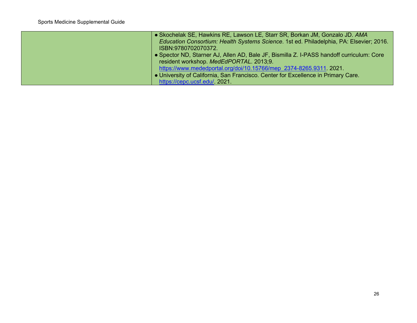| • Skochelak SE, Hawkins RE, Lawson LE, Starr SR, Borkan JM, Gonzalo JD. AMA              |
|------------------------------------------------------------------------------------------|
| Education Consortium: Health Systems Science. 1st ed. Philadelphia, PA: Elsevier; 2016.  |
| ISBN:9780702070372.                                                                      |
| • Spector ND, Starner AJ, Allen AD, Bale JF, Bismilla Z. I-PASS handoff curriculum: Core |
| resident workshop. MedEdPORTAL. 2013;9.                                                  |
| https://www.mededportal.org/doi/10.15766/mep 2374-8265.9311.2021.                        |
| . University of California, San Francisco. Center for Excellence in Primary Care.        |
| https://cepc.ucsf.edu/. 2021.                                                            |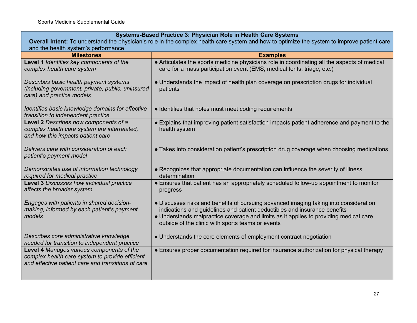### **Systems-Based Practice 3: Physician Role in Health Care Systems**

| Overall Intent: To understand the physician's role in the complex health care system and how to optimize the system to improve patient care<br>and the health system's performance |                                                                                                                                                                                                                                                                                                                  |
|------------------------------------------------------------------------------------------------------------------------------------------------------------------------------------|------------------------------------------------------------------------------------------------------------------------------------------------------------------------------------------------------------------------------------------------------------------------------------------------------------------|
| <b>Milestones</b>                                                                                                                                                                  | <b>Examples</b>                                                                                                                                                                                                                                                                                                  |
| Level 1 Identifies key components of the<br>complex health care system                                                                                                             | • Articulates the sports medicine physicians role in coordinating all the aspects of medical<br>care for a mass participation event (EMS, medical tents, triage, etc.)                                                                                                                                           |
| Describes basic health payment systems<br>(including government, private, public, uninsured<br>care) and practice models                                                           | • Understands the impact of health plan coverage on prescription drugs for individual<br>patients                                                                                                                                                                                                                |
| Identifies basic knowledge domains for effective<br>transition to independent practice                                                                                             | • Identifies that notes must meet coding requirements                                                                                                                                                                                                                                                            |
| Level 2 Describes how components of a<br>complex health care system are interrelated,<br>and how this impacts patient care                                                         | • Explains that improving patient satisfaction impacts patient adherence and payment to the<br>health system                                                                                                                                                                                                     |
| Delivers care with consideration of each<br>patient's payment model                                                                                                                | • Takes into consideration patient's prescription drug coverage when choosing medications                                                                                                                                                                                                                        |
| Demonstrates use of information technology<br>required for medical practice                                                                                                        | • Recognizes that appropriate documentation can influence the severity of illness<br>determination                                                                                                                                                                                                               |
| Level 3 Discusses how individual practice<br>affects the broader system                                                                                                            | • Ensures that patient has an appropriately scheduled follow-up appointment to monitor<br>progress                                                                                                                                                                                                               |
| Engages with patients in shared decision-<br>making, informed by each patient's payment<br>models                                                                                  | • Discusses risks and benefits of pursuing advanced imaging taking into consideration<br>indications and guidelines and patient deductibles and insurance benefits<br>• Understands malpractice coverage and limits as it applies to providing medical care<br>outside of the clinic with sports teams or events |
| Describes core administrative knowledge<br>needed for transition to independent practice                                                                                           | • Understands the core elements of employment contract negotiation                                                                                                                                                                                                                                               |
| Level 4 Manages various components of the<br>complex health care system to provide efficient<br>and effective patient care and transitions of care                                 | • Ensures proper documentation required for insurance authorization for physical therapy                                                                                                                                                                                                                         |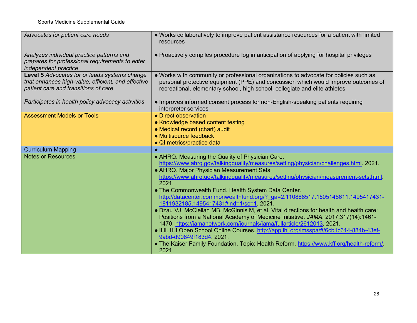| Advocates for patient care needs                                                                                                            | • Works collaboratively to improve patient assistance resources for a patient with limited<br>resources                                                                                                                                                    |
|---------------------------------------------------------------------------------------------------------------------------------------------|------------------------------------------------------------------------------------------------------------------------------------------------------------------------------------------------------------------------------------------------------------|
| Analyzes individual practice patterns and<br>prepares for professional requirements to enter<br>independent practice                        | • Proactively compiles procedure log in anticipation of applying for hospital privileges                                                                                                                                                                   |
| Level 5 Advocates for or leads systems change<br>that enhances high-value, efficient, and effective<br>patient care and transitions of care | . Works with community or professional organizations to advocate for policies such as<br>personal protective equipment (PPE) and concussion which would improve outcomes of<br>recreational, elementary school, high school, collegiate and elite athletes |
| Participates in health policy advocacy activities                                                                                           | • Improves informed consent process for non-English-speaking patients requiring<br>interpreter services                                                                                                                                                    |
| <b>Assessment Models or Tools</b>                                                                                                           | • Direct observation                                                                                                                                                                                                                                       |
|                                                                                                                                             | • Knowledge based content testing                                                                                                                                                                                                                          |
|                                                                                                                                             | • Medical record (chart) audit                                                                                                                                                                                                                             |
|                                                                                                                                             | • Multisource feedback                                                                                                                                                                                                                                     |
|                                                                                                                                             | • QI metrics/practice data                                                                                                                                                                                                                                 |
| <b>Curriculum Mapping</b><br><b>Notes or Resources</b>                                                                                      |                                                                                                                                                                                                                                                            |
|                                                                                                                                             | • AHRQ. Measuring the Quality of Physician Care.                                                                                                                                                                                                           |
|                                                                                                                                             |                                                                                                                                                                                                                                                            |
|                                                                                                                                             | https://www.ahrq.gov/talkingquality/measures/setting/physician/challenges.html. 2021.                                                                                                                                                                      |
|                                                                                                                                             | • AHRQ. Major Physician Measurement Sets.                                                                                                                                                                                                                  |
|                                                                                                                                             | https://www.ahrq.gov/talkingquality/measures/setting/physician/measurement-sets.html                                                                                                                                                                       |
|                                                                                                                                             | 2021.                                                                                                                                                                                                                                                      |
|                                                                                                                                             | . The Commonwealth Fund. Health System Data Center.                                                                                                                                                                                                        |
|                                                                                                                                             | http://datacenter.commonwealthfund.org/? ga=2.110888517.1505146611.1495417431-<br>1811932185.1495417431#ind=1/sc=1 2021.                                                                                                                                   |
|                                                                                                                                             | . Dzau VJ, McClellan MB, McGinnis M, et al. Vital directions for health and health care:                                                                                                                                                                   |
|                                                                                                                                             | Positions from a National Academy of Medicine Initiative. JAMA. 2017;317(14):1461-                                                                                                                                                                         |
|                                                                                                                                             | 1470. https://jamanetwork.com/journals/jama/fullarticle/2612013. 2021.                                                                                                                                                                                     |
|                                                                                                                                             | . IHI. IHI Open School Online Courses. http://app.ihi.org/lmsspa/#/6cb1c614-884b-43ef-                                                                                                                                                                     |
|                                                                                                                                             | 9abd-d90849f183d4. 2021.                                                                                                                                                                                                                                   |
|                                                                                                                                             | • The Kaiser Family Foundation. Topic: Health Reform. https://www.kff.org/health-reform/<br>2021.                                                                                                                                                          |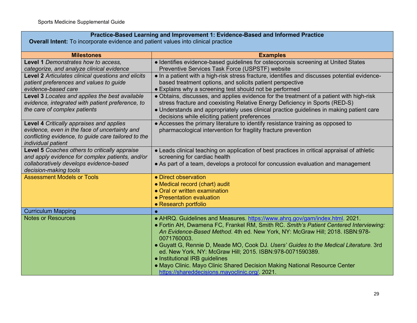# **Practice-Based Learning and Improvement 1: Evidence-Based and Informed Practice**

**Overall Intent:** To incorporate evidence and patient values into clinical practice

| <b>Milestones</b>                                   | <b>Examples</b>                                                                               |
|-----------------------------------------------------|-----------------------------------------------------------------------------------------------|
| Level 1 Demonstrates how to access,                 | • Identifies evidence-based guidelines for osteoporosis screening at United States            |
| categorize, and analyze clinical evidence           | Preventive Services Task Force (USPSTF) website                                               |
| Level 2 Articulates clinical questions and elicits  | • In a patient with a high-risk stress fracture, identifies and discusses potential evidence- |
| patient preferences and values to guide             | based treatment options, and solicits patient perspective                                     |
| evidence-based care                                 | • Explains why a screening test should not be performed                                       |
| Level 3 Locates and applies the best available      | • Obtains, discusses, and applies evidence for the treatment of a patient with high-risk      |
| evidence, integrated with patient preference, to    | stress fracture and coexisting Relative Energy Deficiency in Sports (RED-S)                   |
| the care of complex patients                        | • Understands and appropriately uses clinical practice guidelines in making patient care      |
|                                                     | decisions while eliciting patient preferences                                                 |
| Level 4 Critically appraises and applies            | • Accesses the primary literature to identify resistance training as opposed to               |
| evidence, even in the face of uncertainty and       | pharmacological intervention for fragility fracture prevention                                |
| conflicting evidence, to guide care tailored to the |                                                                                               |
| individual patient                                  |                                                                                               |
| Level 5 Coaches others to critically appraise       | • Leads clinical teaching on application of best practices in critical appraisal of athletic  |
| and apply evidence for complex patients, and/or     | screening for cardiac health                                                                  |
| collaboratively develops evidence-based             | • As part of a team, develops a protocol for concussion evaluation and management             |
| decision-making tools                               |                                                                                               |
| <b>Assessment Models or Tools</b>                   | • Direct observation                                                                          |
|                                                     | • Medical record (chart) audit                                                                |
|                                                     | • Oral or written examination                                                                 |
|                                                     | • Presentation evaluation                                                                     |
|                                                     | • Research portfolio                                                                          |
| <b>Curriculum Mapping</b>                           |                                                                                               |
| <b>Notes or Resources</b>                           | • AHRQ. Guidelines and Measures. https://www.ahrq.gov/gam/index.html. 2021.                   |
|                                                     | • Fortin AH, Dwamena FC, Frankel RM, Smith RC. Smith's Patient Centered Interviewing:         |
|                                                     | An Evidence-Based Method. 4th ed. New York, NY: McGraw Hill; 2018. ISBN:978-<br>0071760003.   |
|                                                     | • Guyatt G, Rennie D, Meade MO, Cook DJ. Users' Guides to the Medical Literature. 3rd         |
|                                                     | ed. New York, NY: McGraw Hill; 2015. ISBN:978-0071590389.                                     |
|                                                     | • Institutional IRB guidelines                                                                |
|                                                     | • Mayo Clinic. Mayo Clinic Shared Decision Making National Resource Center                    |
|                                                     | https://shareddecisions.mayoclinic.org/. 2021.                                                |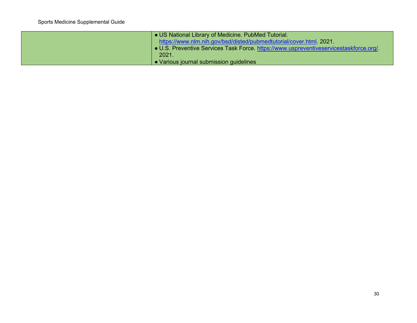| • US National Library of Medicine. PubMed Tutorial.<br>https://www.nlm.nih.gov/bsd/disted/pubmedtutorial/cover.html. 2021.<br>• U.S. Preventive Services Task Force. https://www.uspreventiveservicestaskforce.org/. |
|----------------------------------------------------------------------------------------------------------------------------------------------------------------------------------------------------------------------|
| 2021.<br>• Various journal submission guidelines                                                                                                                                                                     |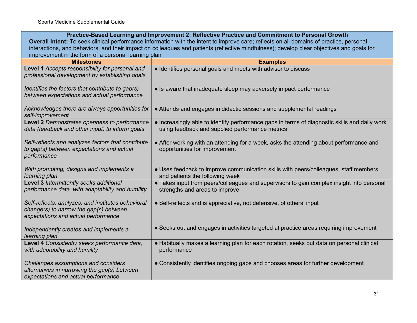|                                                                                                                                           | Practice-Based Learning and Improvement 2: Reflective Practice and Commitment to Personal Growth                                                 |
|-------------------------------------------------------------------------------------------------------------------------------------------|--------------------------------------------------------------------------------------------------------------------------------------------------|
| Overall Intent: To seek clinical performance information with the intent to improve care; reflects on all domains of practice, personal   |                                                                                                                                                  |
| interactions, and behaviors, and their impact on colleagues and patients (reflective mindfulness); develop clear objectives and goals for |                                                                                                                                                  |
| improvement in the form of a personal learning plan                                                                                       |                                                                                                                                                  |
| <b>Milestones</b>                                                                                                                         | <b>Examples</b>                                                                                                                                  |
| Level 1 Accepts responsibility for personal and<br>professional development by establishing goals                                         | • Identifies personal goals and meets with advisor to discuss                                                                                    |
| Identifies the factors that contribute to gap(s)<br>between expectations and actual performance                                           | • Is aware that inadequate sleep may adversely impact performance                                                                                |
| Acknowledges there are always opportunities for<br>self-improvement                                                                       | • Attends and engages in didactic sessions and supplemental readings                                                                             |
| Level 2 Demonstrates openness to performance<br>data (feedback and other input) to inform goals                                           | . Increasingly able to identify performance gaps in terms of diagnostic skills and daily work<br>using feedback and supplied performance metrics |
| Self-reflects and analyzes factors that contribute<br>to gap(s) between expectations and actual<br>performance                            | • After working with an attending for a week, asks the attending about performance and<br>opportunities for improvement                          |
| With prompting, designs and implements a<br>learning plan                                                                                 | • Uses feedback to improve communication skills with peers/colleagues, staff members,<br>and patients the following week                         |
| Level 3 Intermittently seeks additional<br>performance data, with adaptability and humility                                               | • Takes input from peers/colleagues and supervisors to gain complex insight into personal<br>strengths and areas to improve                      |
| Self-reflects, analyzes, and institutes behavioral<br>change(s) to narrow the gap(s) between<br>expectations and actual performance       | • Self-reflects and is appreciative, not defensive, of others' input                                                                             |
| Independently creates and implements a<br>learning plan                                                                                   | • Seeks out and engages in activities targeted at practice areas requiring improvement                                                           |
| Level 4 Consistently seeks performance data,<br>with adaptability and humility                                                            | • Habitually makes a learning plan for each rotation, seeks out data on personal clinical<br>performance                                         |
| Challenges assumptions and considers<br>alternatives in narrowing the gap(s) between<br>expectations and actual performance               | • Consistently identifies ongoing gaps and chooses areas for further development                                                                 |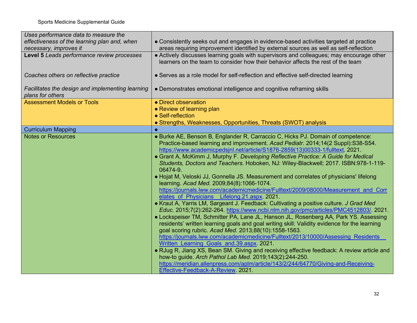| Uses performance data to measure the             |                                                                                              |
|--------------------------------------------------|----------------------------------------------------------------------------------------------|
| effectiveness of the learning plan and, when     | • Consistently seeks out and engages in evidence-based activities targeted at practice       |
| necessary, improves it                           | areas requiring improvement identified by external sources as well as self-reflection        |
| Level 5 Leads performance review processes       | • Actively discusses learning goals with supervisors and colleagues; may encourage other     |
|                                                  | learners on the team to consider how their behavior affects the rest of the team             |
|                                                  |                                                                                              |
| Coaches others on reflective practice            | • Serves as a role model for self-reflection and effective self-directed learning            |
|                                                  |                                                                                              |
| Facilitates the design and implementing learning | • Demonstrates emotional intelligence and cognitive reframing skills                         |
| plans for others                                 |                                                                                              |
| <b>Assessment Models or Tools</b>                | • Direct observation                                                                         |
|                                                  | • Review of learning plan                                                                    |
|                                                  | • Self-reflection                                                                            |
|                                                  | • Strengths, Weaknesses, Opportunities, Threats (SWOT) analysis                              |
| <b>Curriculum Mapping</b>                        |                                                                                              |
| <b>Notes or Resources</b>                        | • Burke AE, Benson B, Englander R, Carraccio C, Hicks PJ. Domain of competence:              |
|                                                  | Practice-based learning and improvement. Acad Pediatr. 2014;14(2 Suppl):S38-S54.             |
|                                                  | https://www.academicpedsjnl.net/article/S1876-2859(13)00333-1/fulltext. 2021.                |
|                                                  | • Grant A, McKimm J, Murphy F. Developing Reflective Practice: A Guide for Medical           |
|                                                  | Students, Doctors and Teachers. Hoboken, NJ: Wiley-Blackwell; 2017. ISBN:978-1-119-          |
|                                                  | 06474-9.                                                                                     |
|                                                  | • Hojat M, Veloski JJ, Gonnella JS. Measurement and correlates of physicians' lifelong       |
|                                                  | learning. Acad Med. 2009;84(8):1066-1074.                                                    |
|                                                  | https://journals.lww.com/academicmedicine/Fulltext/2009/08000/Measurement and Corr           |
|                                                  | elates of Physicians Lifelong.21.aspx 2021.                                                  |
|                                                  | • Kraut A, Yarris LM, Sargeant J. Feedback: Cultivating a positive culture. J Grad Med       |
|                                                  | Educ. 2015;7(2):262-264. https://www.ncbi.nlm.nih.gov/pmc/articles/PMC4512803/. 2021.        |
|                                                  | • Lockspeiser TM, Schmitter PA, Lane JL, Hanson JL, Rosenberg AA, Park YS. Assessing         |
|                                                  | residents' written learning goals and goal writing skill: Validity evidence for the learning |
|                                                  | goal scoring rubric. Acad Med. 2013;88(10):1558-1563.                                        |
|                                                  | https://journals.lww.com/academicmedicine/Fulltext/2013/10000/Assessing Residents            |
|                                                  | Written Learning Goals and.39.aspx 2021.                                                     |
|                                                  | • RJug R, Jiang XS, Bean SM. Giving and receiving effective feedback: A review article and   |
|                                                  | how-to guide. Arch Pathol Lab Med. 2019;143(2):244-250.                                      |
|                                                  | https://meridian.allenpress.com/aplm/article/143/2/244/64770/Giving-and-Receiving-           |
|                                                  | Effective-Feedback-A-Review. 2021.                                                           |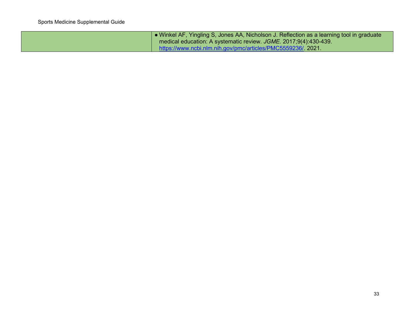| • Winkel AF, Yingling S, Jones AA, Nicholson J. Reflection as a learning tool in graduate<br>medical education: A systematic review. JGME. 2017;9(4):430-439. |
|---------------------------------------------------------------------------------------------------------------------------------------------------------------|
| https://www.ncbi.nlm.nih.gov/pmc/articles/PMC5559236/ 2021.                                                                                                   |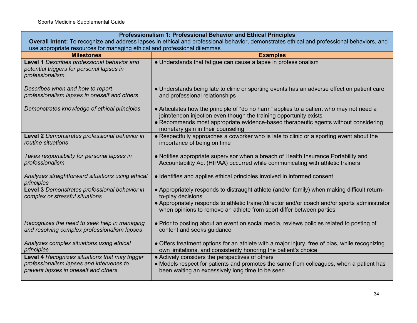| Professionalism 1: Professional Behavior and Ethical Principles                                                                            |                                                                                                                                                                                                                                                                                             |
|--------------------------------------------------------------------------------------------------------------------------------------------|---------------------------------------------------------------------------------------------------------------------------------------------------------------------------------------------------------------------------------------------------------------------------------------------|
| Overall Intent: To recognize and address lapses in ethical and professional behavior, demonstrates ethical and professional behaviors, and |                                                                                                                                                                                                                                                                                             |
| use appropriate resources for managing ethical and professional dilemmas<br><b>Milestones</b><br><b>Examples</b>                           |                                                                                                                                                                                                                                                                                             |
| Level 1 Describes professional behavior and<br>potential triggers for personal lapses in<br>professionalism                                | • Understands that fatigue can cause a lapse in professionalism                                                                                                                                                                                                                             |
| Describes when and how to report<br>professionalism lapses in oneself and others                                                           | • Understands being late to clinic or sporting events has an adverse effect on patient care<br>and professional relationships                                                                                                                                                               |
| Demonstrates knowledge of ethical principles                                                                                               | • Articulates how the principle of "do no harm" applies to a patient who may not need a<br>joint/tendon injection even though the training opportunity exists<br>• Recommends most appropriate evidence-based therapeutic agents without considering<br>monetary gain in their counseling   |
| Level 2 Demonstrates professional behavior in<br>routine situations                                                                        | • Respectfully approaches a coworker who is late to clinic or a sporting event about the<br>importance of being on time                                                                                                                                                                     |
| Takes responsibility for personal lapses in<br>professionalism                                                                             | • Notifies appropriate supervisor when a breach of Health Insurance Portability and<br>Accountability Act (HIPAA) occurred while communicating with athletic trainers                                                                                                                       |
| Analyzes straightforward situations using ethical<br>principles                                                                            | • Identifies and applies ethical principles involved in informed consent                                                                                                                                                                                                                    |
| Level 3 Demonstrates professional behavior in<br>complex or stressful situations                                                           | • Appropriately responds to distraught athlete (and/or family) when making difficult return-<br>to-play decisions<br>• Appropriately responds to athletic trainer/director and/or coach and/or sports administrator<br>when opinions to remove an athlete from sport differ between parties |
| Recognizes the need to seek help in managing<br>and resolving complex professionalism lapses                                               | • Prior to posting about an event on social media, reviews policies related to posting of<br>content and seeks guidance                                                                                                                                                                     |
| Analyzes complex situations using ethical<br>principles                                                                                    | • Offers treatment options for an athlete with a major injury, free of bias, while recognizing<br>own limitations, and consistently honoring the patient's choice                                                                                                                           |
| Level 4 Recognizes situations that may trigger<br>professionalism lapses and intervenes to<br>prevent lapses in oneself and others         | • Actively considers the perspectives of others<br>• Models respect for patients and promotes the same from colleagues, when a patient has<br>been waiting an excessively long time to be seen                                                                                              |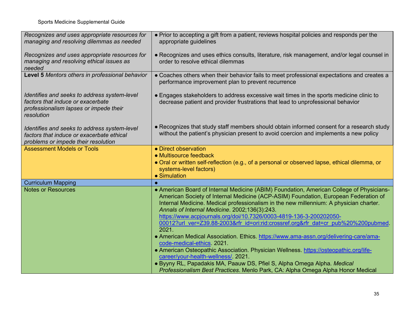| Recognizes and uses appropriate resources for<br>managing and resolving dilemmas as needed                                                | • Prior to accepting a gift from a patient, reviews hospital policies and responds per the<br>appropriate guidelines                                                                                                                                                                                                                                                                                                                                                                                                                                                                                                                                                                                                                                                                                                        |
|-------------------------------------------------------------------------------------------------------------------------------------------|-----------------------------------------------------------------------------------------------------------------------------------------------------------------------------------------------------------------------------------------------------------------------------------------------------------------------------------------------------------------------------------------------------------------------------------------------------------------------------------------------------------------------------------------------------------------------------------------------------------------------------------------------------------------------------------------------------------------------------------------------------------------------------------------------------------------------------|
| Recognizes and uses appropriate resources for<br>managing and resolving ethical issues as<br>needed                                       | • Recognizes and uses ethics consults, literature, risk management, and/or legal counsel in<br>order to resolve ethical dilemmas                                                                                                                                                                                                                                                                                                                                                                                                                                                                                                                                                                                                                                                                                            |
| Level 5 Mentors others in professional behavior                                                                                           | • Coaches others when their behavior fails to meet professional expectations and creates a<br>performance improvement plan to prevent recurrence                                                                                                                                                                                                                                                                                                                                                                                                                                                                                                                                                                                                                                                                            |
| Identifies and seeks to address system-level<br>factors that induce or exacerbate<br>professionalism lapses or impede their<br>resolution | • Engages stakeholders to address excessive wait times in the sports medicine clinic to<br>decrease patient and provider frustrations that lead to unprofessional behavior                                                                                                                                                                                                                                                                                                                                                                                                                                                                                                                                                                                                                                                  |
| Identifies and seeks to address system-level<br>factors that induce or exacerbate ethical<br>problems or impede their resolution          | • Recognizes that study staff members should obtain informed consent for a research study<br>without the patient's physician present to avoid coercion and implements a new policy                                                                                                                                                                                                                                                                                                                                                                                                                                                                                                                                                                                                                                          |
| <b>Assessment Models or Tools</b>                                                                                                         | • Direct observation<br>• Multisource feedback<br>• Oral or written self-reflection (e.g., of a personal or observed lapse, ethical dilemma, or<br>systems-level factors)<br>• Simulation                                                                                                                                                                                                                                                                                                                                                                                                                                                                                                                                                                                                                                   |
| <b>Curriculum Mapping</b>                                                                                                                 |                                                                                                                                                                                                                                                                                                                                                                                                                                                                                                                                                                                                                                                                                                                                                                                                                             |
| <b>Notes or Resources</b>                                                                                                                 | • American Board of Internal Medicine (ABIM) Foundation, American College of Physicians-<br>American Society of Internal Medicine (ACP-ASIM) Foundation, European Federation of<br>Internal Medicine. Medical professionalism in the new millennium: A physician charter.<br>Annals of Internal Medicine. 2002;136(3):243.<br>https://www.acpjournals.org/doi/10.7326/0003-4819-136-3-200202050-<br>00012?url_ver=Z39.88-2003𝔯_id=ori:rid:crossref.org𝔯_dat=cr_pub%20%200pubmed.<br>2021.<br>• American Medical Association. Ethics. https://www.ama-assn.org/delivering-care/ama-<br>code-medical-ethics. 2021.<br>• American Osteopathic Association. Physician Wellness. https://osteopathic.org/life-<br>career/your-health-wellness/. 2021.<br>· Byyny RL, Papadakis MA, Paauw DS, Pfiel S, Alpha Omega Alpha. Medical |
|                                                                                                                                           | Professionalism Best Practices. Menlo Park, CA: Alpha Omega Alpha Honor Medical                                                                                                                                                                                                                                                                                                                                                                                                                                                                                                                                                                                                                                                                                                                                             |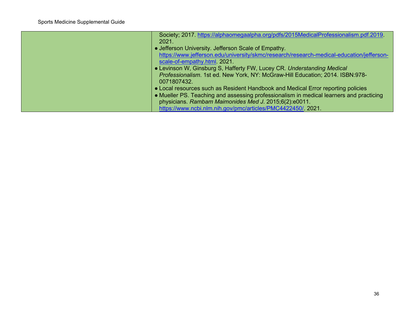| Society; 2017. https://alphaomegaalpha.org/pdfs/2015MedicalProfessionalism.pdf.2019.<br>2021.                                                                                                                                        |
|--------------------------------------------------------------------------------------------------------------------------------------------------------------------------------------------------------------------------------------|
| • Jefferson University. Jefferson Scale of Empathy.                                                                                                                                                                                  |
| https://www.jefferson.edu/university/skmc/research/research-medical-education/jefferson-<br>scale-of-empathy.html. 2021.                                                                                                             |
| • Levinson W, Ginsburg S, Hafferty FW, Lucey CR. Understanding Medical<br>Professionalism. 1st ed. New York, NY: McGraw-Hill Education; 2014. ISBN:978-<br>0071807432.                                                               |
| • Local resources such as Resident Handbook and Medical Error reporting policies<br>• Mueller PS. Teaching and assessing professionalism in medical learners and practicing<br>physicians. Rambam Maimonides Med J. 2015;6(2):e0011. |
| https://www.ncbi.nlm.nih.gov/pmc/articles/PMC4422450/ 2021.                                                                                                                                                                          |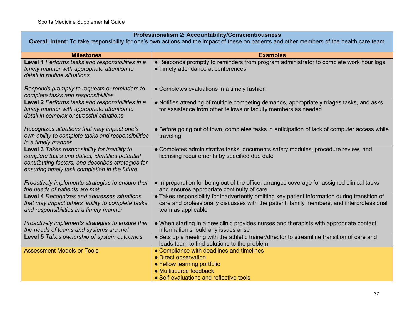### **Professionalism 2: Accountability/Conscientiousness**

**Overall Intent:** To take responsibility for one's own actions and the impact of these on patients and other members of the health care team

| <b>Milestones</b>                                                                                                                                                                                       | <b>Examples</b>                                                                                                                                                                                                   |
|---------------------------------------------------------------------------------------------------------------------------------------------------------------------------------------------------------|-------------------------------------------------------------------------------------------------------------------------------------------------------------------------------------------------------------------|
| Level 1 Performs tasks and responsibilities in a<br>timely manner with appropriate attention to<br>detail in routine situations                                                                         | • Responds promptly to reminders from program administrator to complete work hour logs<br>• Timely attendance at conferences                                                                                      |
| Responds promptly to requests or reminders to<br>complete tasks and responsibilities                                                                                                                    | • Completes evaluations in a timely fashion                                                                                                                                                                       |
| Level 2 Performs tasks and responsibilities in a<br>timely manner with appropriate attention to<br>detail in complex or stressful situations                                                            | • Notifies attending of multiple competing demands, appropriately triages tasks, and asks<br>for assistance from other fellows or faculty members as needed                                                       |
| Recognizes situations that may impact one's<br>own ability to complete tasks and responsibilities<br>in a timely manner                                                                                 | • Before going out of town, completes tasks in anticipation of lack of computer access while<br>traveling                                                                                                         |
| Level 3 Takes responsibility for inability to<br>complete tasks and duties, identifies potential<br>contributing factors, and describes strategies for<br>ensuring timely task completion in the future | • Completes administrative tasks, documents safety modules, procedure review, and<br>licensing requirements by specified due date                                                                                 |
| Proactively implements strategies to ensure that<br>the needs of patients are met                                                                                                                       | • In preparation for being out of the office, arranges coverage for assigned clinical tasks<br>and ensures appropriate continuity of care                                                                         |
| Level 4 Recognizes and addresses situations<br>that may impact others' ability to complete tasks<br>and responsibilities in a timely manner                                                             | • Takes responsibility for inadvertently omitting key patient information during transition of<br>care and professionally discusses with the patient, family members, and interprofessional<br>team as applicable |
| Proactively implements strategies to ensure that<br>the needs of teams and systems are met                                                                                                              | • When starting in a new clinic provides nurses and therapists with appropriate contact<br>information should any issues arise                                                                                    |
| Level 5 Takes ownership of system outcomes                                                                                                                                                              | • Sets up a meeting with the athletic trainer/director to streamline transition of care and<br>leads team to find solutions to the problem                                                                        |
| <b>Assessment Models or Tools</b>                                                                                                                                                                       | • Compliance with deadlines and timelines<br>• Direct observation<br>• Fellow learning portfolio<br>• Multisource feedback<br>• Self-evaluations and reflective tools                                             |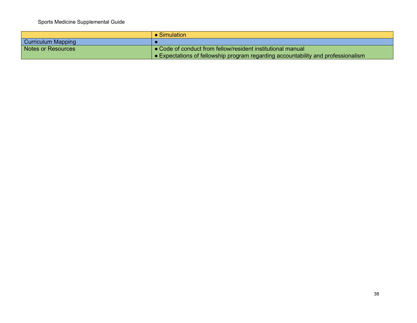|                    | $\bullet$ Simulation                                                                      |
|--------------------|-------------------------------------------------------------------------------------------|
| Curriculum Mapping |                                                                                           |
| Notes or Resources | • Code of conduct from fellow/resident institutional manual                               |
|                    | $\bullet$ Expectations of fellowship program regarding accountability and professionalism |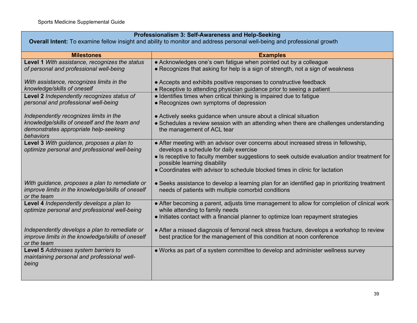### **Professionalism 3: Self-Awareness and Help-Seeking**

**Overall Intent:** To examine fellow insight and ability to monitor and address personal well-being and professional growth

| <b>Milestones</b>                                                                                                  | <b>Examples</b>                                                                                                                                      |
|--------------------------------------------------------------------------------------------------------------------|------------------------------------------------------------------------------------------------------------------------------------------------------|
| Level 1 With assistance, recognizes the status                                                                     | • Acknowledges one's own fatigue when pointed out by a colleague                                                                                     |
| of personal and professional well-being                                                                            | • Recognizes that asking for help is a sign of strength, not a sign of weakness                                                                      |
| With assistance, recognizes limits in the                                                                          | • Accepts and exhibits positive responses to constructive feedback                                                                                   |
| knowledge/skills of oneself                                                                                        | • Receptive to attending physician guidance prior to seeing a patient                                                                                |
| Level 2 Independently recognizes status of                                                                         | • Identifies times when critical thinking is impaired due to fatigue                                                                                 |
| personal and professional well-being                                                                               | • Recognizes own symptoms of depression                                                                                                              |
| Independently recognizes limits in the                                                                             | • Actively seeks guidance when unsure about a clinical situation                                                                                     |
| knowledge/skills of oneself and the team and<br>demonstrates appropriate help-seeking<br>behaviors                 | • Schedules a review session with an attending when there are challenges understanding<br>the management of ACL tear                                 |
| Level 3 With guidance, proposes a plan to                                                                          | • After meeting with an advisor over concerns about increased stress in fellowship,                                                                  |
| optimize personal and professional well-being                                                                      | develops a schedule for daily exercise                                                                                                               |
|                                                                                                                    | • Is receptive to faculty member suggestions to seek outside evaluation and/or treatment for<br>possible learning disability                         |
|                                                                                                                    | • Coordinates with advisor to schedule blocked times in clinic for lactation                                                                         |
| With guidance, proposes a plan to remediate or<br>improve limits in the knowledge/skills of oneself<br>or the team | • Seeks assistance to develop a learning plan for an identified gap in prioritizing treatment<br>needs of patients with multiple comorbid conditions |
| Level 4 Independently develops a plan to<br>optimize personal and professional well-being                          | • After becoming a parent, adjusts time management to allow for completion of clinical work<br>while attending to family needs                       |
|                                                                                                                    | • Initiates contact with a financial planner to optimize loan repayment strategies                                                                   |
|                                                                                                                    |                                                                                                                                                      |
| Independently develops a plan to remediate or                                                                      | • After a missed diagnosis of femoral neck stress fracture, develops a workshop to review                                                            |
| improve limits in the knowledge/skills of oneself<br>or the team                                                   | best practice for the management of this condition at noon conference                                                                                |
| Level 5 Addresses system barriers to                                                                               | . Works as part of a system committee to develop and administer wellness survey                                                                      |
| maintaining personal and professional well-<br>being                                                               |                                                                                                                                                      |
|                                                                                                                    |                                                                                                                                                      |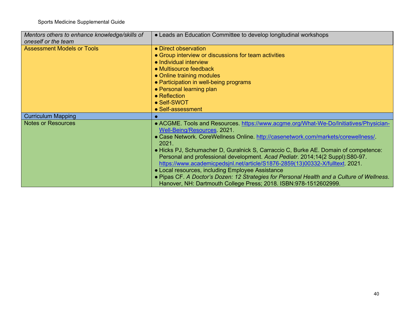| Mentors others to enhance knowledge/skills of<br>oneself or the team | • Leads an Education Committee to develop longitudinal workshops                                                                                                                                                                                                                                                                                                                                                                                                                                                                                                                                                                                                                                 |
|----------------------------------------------------------------------|--------------------------------------------------------------------------------------------------------------------------------------------------------------------------------------------------------------------------------------------------------------------------------------------------------------------------------------------------------------------------------------------------------------------------------------------------------------------------------------------------------------------------------------------------------------------------------------------------------------------------------------------------------------------------------------------------|
| <b>Assessment Models or Tools</b>                                    | • Direct observation<br>• Group interview or discussions for team activities<br>• Individual interview<br>• Multisource feedback<br>• Online training modules<br>• Participation in well-being programs<br>• Personal learning plan<br>$\bullet$ Reflection<br>• Self-SWOT<br>• Self-assessment                                                                                                                                                                                                                                                                                                                                                                                                  |
| <b>Curriculum Mapping</b>                                            |                                                                                                                                                                                                                                                                                                                                                                                                                                                                                                                                                                                                                                                                                                  |
| <b>Notes or Resources</b>                                            | • ACGME. Tools and Resources. https://www.acgme.org/What-We-Do/Initiatives/Physician-<br>Well-Being/Resources 2021.<br>• Case Network. CoreWellness Online. http://casenetwork.com/markets/corewellness/<br>2021.<br>• Hicks PJ, Schumacher D, Guralnick S, Carraccio C, Burke AE. Domain of competence:<br>Personal and professional development. Acad Pediatr. 2014;14(2 Suppl):S80-97.<br>https://www.academicpedsjnl.net/article/S1876-2859(13)00332-X/fulltext. 2021.<br>• Local resources, including Employee Assistance<br>• Pipas CF. A Doctor's Dozen: 12 Strategies for Personal Health and a Culture of Wellness.<br>Hanover, NH: Dartmouth College Press; 2018. ISBN:978-1512602999. |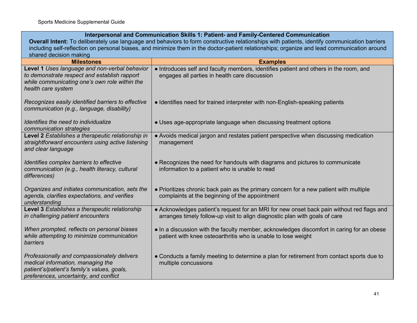### **Interpersonal and Communication Skills 1: Patient- and Family-Centered Communication**

**Overall Intent:** To deliberately use language and behaviors to form constructive relationships with patients, identify communication barriers including self-reflection on personal biases, and minimize them in the doctor-patient relationships; organize and lead communication around shared decision making

| anarou uodalun manny                                                                                                                                                      |                                                                                                                                                                          |  |
|---------------------------------------------------------------------------------------------------------------------------------------------------------------------------|--------------------------------------------------------------------------------------------------------------------------------------------------------------------------|--|
| <b>Milestones</b>                                                                                                                                                         | <b>Examples</b>                                                                                                                                                          |  |
| Level 1 Uses language and non-verbal behavior<br>to demonstrate respect and establish rapport<br>while communicating one's own role within the<br>health care system      | • Introduces self and faculty members, identifies patient and others in the room, and<br>engages all parties in health care discussion                                   |  |
| Recognizes easily identified barriers to effective<br>communication (e.g., language, disability)                                                                          | • Identifies need for trained interpreter with non-English-speaking patients                                                                                             |  |
| Identifies the need to individualize<br>communication strategies                                                                                                          | • Uses age-appropriate language when discussing treatment options                                                                                                        |  |
| Level 2 Establishes a therapeutic relationship in<br>straightforward encounters using active listening<br>and clear language                                              | • Avoids medical jargon and restates patient perspective when discussing medication<br>management                                                                        |  |
| Identifies complex barriers to effective<br>communication (e.g., health literacy, cultural<br>differences)                                                                | • Recognizes the need for handouts with diagrams and pictures to communicate<br>information to a patient who is unable to read                                           |  |
| Organizes and initiates communication, sets the<br>agenda, clarifies expectations, and verifies<br>understanding                                                          | • Prioritizes chronic back pain as the primary concern for a new patient with multiple<br>complaints at the beginning of the appointment                                 |  |
| Level 3 Establishes a therapeutic relationship<br>in challenging patient encounters                                                                                       | • Acknowledges patient's request for an MRI for new onset back pain without red flags and<br>arranges timely follow-up visit to align diagnostic plan with goals of care |  |
| When prompted, reflects on personal biases<br>while attempting to minimize communication<br><b>barriers</b>                                                               | • In a discussion with the faculty member, acknowledges discomfort in caring for an obese<br>patient with knee osteoarthritis who is unable to lose weight               |  |
| Professionally and compassionately delivers<br>medical information, managing the<br>patient's/patient's family's values, goals,<br>preferences, uncertainty, and conflict | • Conducts a family meeting to determine a plan for retirement from contact sports due to<br>multiple concussions                                                        |  |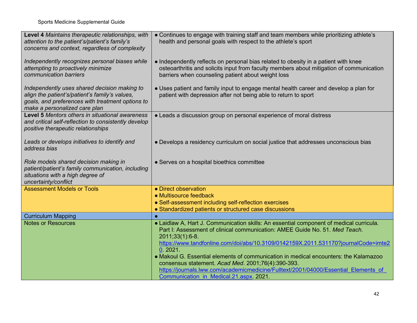| Level 4 Maintains therapeutic relationships, with<br>attention to the patient's/patient's family's<br>concerns and context, regardless of complexity                                | • Continues to engage with training staff and team members while prioritizing athlete's<br>health and personal goals with respect to the athlete's sport                                                                                                                                                                                                                                                                                                                                                                        |
|-------------------------------------------------------------------------------------------------------------------------------------------------------------------------------------|---------------------------------------------------------------------------------------------------------------------------------------------------------------------------------------------------------------------------------------------------------------------------------------------------------------------------------------------------------------------------------------------------------------------------------------------------------------------------------------------------------------------------------|
| Independently recognizes personal biases while<br>attempting to proactively minimize<br>communication barriers                                                                      | • Independently reflects on personal bias related to obesity in a patient with knee<br>osteoarthritis and solicits input from faculty members about mitigation of communication<br>barriers when counseling patient about weight loss                                                                                                                                                                                                                                                                                           |
| Independently uses shared decision making to<br>align the patient's/patient's family's values,<br>goals, and preferences with treatment options to<br>make a personalized care plan | • Uses patient and family input to engage mental health career and develop a plan for<br>patient with depression after not being able to return to sport                                                                                                                                                                                                                                                                                                                                                                        |
| Level 5 Mentors others in situational awareness<br>and critical self-reflection to consistently develop<br>positive therapeutic relationships                                       | • Leads a discussion group on personal experience of moral distress                                                                                                                                                                                                                                                                                                                                                                                                                                                             |
| Leads or develops initiatives to identify and<br>address bias                                                                                                                       | • Develops a residency curriculum on social justice that addresses unconscious bias                                                                                                                                                                                                                                                                                                                                                                                                                                             |
| Role models shared decision making in<br>patient/patient's family communication, including<br>situations with a high degree of<br>uncertainty/conflict                              | • Serves on a hospital bioethics committee                                                                                                                                                                                                                                                                                                                                                                                                                                                                                      |
| <b>Assessment Models or Tools</b>                                                                                                                                                   | • Direct observation                                                                                                                                                                                                                                                                                                                                                                                                                                                                                                            |
|                                                                                                                                                                                     | • Multisource feedback                                                                                                                                                                                                                                                                                                                                                                                                                                                                                                          |
|                                                                                                                                                                                     | • Self-assessment including self-reflection exercises                                                                                                                                                                                                                                                                                                                                                                                                                                                                           |
|                                                                                                                                                                                     | • Standardized patients or structured case discussions                                                                                                                                                                                                                                                                                                                                                                                                                                                                          |
| <b>Curriculum Mapping</b>                                                                                                                                                           |                                                                                                                                                                                                                                                                                                                                                                                                                                                                                                                                 |
| <b>Notes or Resources</b>                                                                                                                                                           | • Laidlaw A, Hart J. Communication skills: An essential component of medical curricula.<br>Part I: Assessment of clinical communication: AMEE Guide No. 51. Med Teach.<br>2011;33(1):6-8.<br>https://www.tandfonline.com/doi/abs/10.3109/0142159X.2011.531170?journalCode=imte2<br>0.2021.<br>• Makoul G. Essential elements of communication in medical encounters: the Kalamazoo<br>consensus statement. Acad Med. 2001;76(4):390-393.<br>https://journals.lww.com/academicmedicine/Fulltext/2001/04000/Essential Elements of |
|                                                                                                                                                                                     | Communication in Medical.21.aspx 2021.                                                                                                                                                                                                                                                                                                                                                                                                                                                                                          |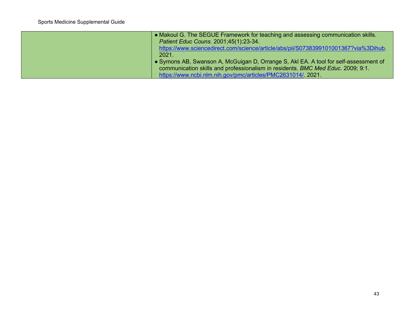| • Makoul G. The SEGUE Framework for teaching and assessing communication skills.     |
|--------------------------------------------------------------------------------------|
| Patient Educ Couns. 2001;45(1):23-34.                                                |
| https://www.sciencedirect.com/science/article/abs/pii/S0738399101001367?via%3Dihub.  |
| 2021.                                                                                |
| • Symons AB, Swanson A, McGuigan D, Orrange S, Akl EA. A tool for self-assessment of |
| communication skills and professionalism in residents. BMC Med Educ. 2009; 9:1.      |
| https://www.ncbi.nlm.nih.gov/pmc/articles/PMC2631014/. 2021.                         |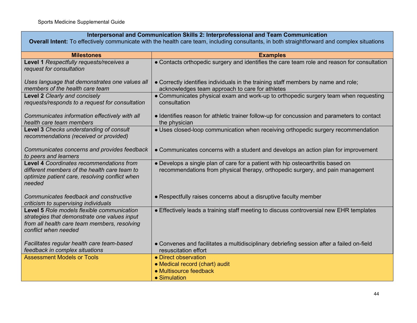### **Interpersonal and Communication Skills 2: Interprofessional and Team Communication**

**Overall Intent:** To effectively communicate with the health care team, including consultants, in both straightforward and complex situations

| <b>Milestones</b>                                                                                                                                                  | <b>Examples</b>                                                                                                                                                   |
|--------------------------------------------------------------------------------------------------------------------------------------------------------------------|-------------------------------------------------------------------------------------------------------------------------------------------------------------------|
| Level 1 Respectfully requests/receives a<br>request for consultation                                                                                               | • Contacts orthopedic surgery and identifies the care team role and reason for consultation                                                                       |
| Uses language that demonstrates one values all<br>members of the health care team                                                                                  | • Correctly identifies individuals in the training staff members by name and role;<br>acknowledges team approach to care for athletes                             |
| Level 2 Clearly and concisely<br>requests/responds to a request for consultation                                                                                   | • Communicates physical exam and work-up to orthopedic surgery team when requesting<br>consultation                                                               |
| Communicates information effectively with all<br>health care team members                                                                                          | • Identifies reason for athletic trainer follow-up for concussion and parameters to contact<br>the physician                                                      |
| Level 3 Checks understanding of consult<br>recommendations (received or provided)                                                                                  | • Uses closed-loop communication when receiving orthopedic surgery recommendation                                                                                 |
| Communicates concerns and provides feedback<br>to peers and learners                                                                                               | • Communicates concerns with a student and develops an action plan for improvement                                                                                |
| <b>Level 4 Coordinates recommendations from</b><br>different members of the health care team to<br>optimize patient care, resolving conflict when<br>needed        | • Develops a single plan of care for a patient with hip osteoarthritis based on<br>recommendations from physical therapy, orthopedic surgery, and pain management |
| Communicates feedback and constructive<br>criticism to supervising individuals                                                                                     | • Respectfully raises concerns about a disruptive faculty member                                                                                                  |
| Level 5 Role models flexible communication<br>strategies that demonstrate one values input<br>from all health care team members, resolving<br>conflict when needed | • Effectively leads a training staff meeting to discuss controversial new EHR templates                                                                           |
| Facilitates regular health care team-based<br>feedback in complex situations                                                                                       | • Convenes and facilitates a multidisciplinary debriefing session after a failed on-field<br>resuscitation effort                                                 |
| <b>Assessment Models or Tools</b>                                                                                                                                  | • Direct observation<br>• Medical record (chart) audit<br>• Multisource feedback<br>• Simulation                                                                  |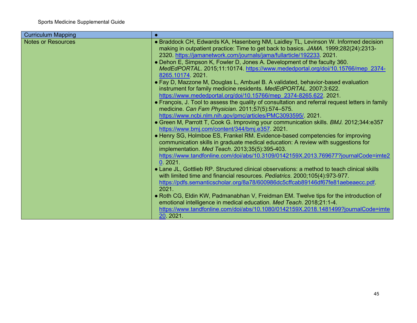| <b>Curriculum Mapping</b> |                                                                                                                                                              |
|---------------------------|--------------------------------------------------------------------------------------------------------------------------------------------------------------|
| <b>Notes or Resources</b> | • Braddock CH, Edwards KA, Hasenberg NM, Laidley TL, Levinson W. Informed decision                                                                           |
|                           | making in outpatient practice: Time to get back to basics. JAMA. 1999;282(24):2313-                                                                          |
|                           | 2320. https://jamanetwork.com/journals/jama/fullarticle/192233. 2021.                                                                                        |
|                           | • Dehon E, Simpson K, Fowler D, Jones A. Development of the faculty 360.                                                                                     |
|                           | MedEdPORTAL. 2015;11:10174. https://www.mededportal.org/doi/10.15766/mep 2374-                                                                               |
|                           | 8265.10174.2021.                                                                                                                                             |
|                           | • Fay D, Mazzone M, Douglas L, Ambuel B. A validated, behavior-based evaluation                                                                              |
|                           | instrument for family medicine residents. MedEdPORTAL. 2007;3:622.                                                                                           |
|                           | https://www.mededportal.org/doi/10.15766/mep 2374-8265.622 2021.                                                                                             |
|                           | • François, J. Tool to assess the quality of consultation and referral request letters in family                                                             |
|                           | medicine. Can Fam Physician. 2011;57(5):574-575.                                                                                                             |
|                           | https://www.ncbi.nlm.nih.gov/pmc/articles/PMC3093595/ 2021.                                                                                                  |
|                           | • Green M, Parrott T, Cook G. Improving your communication skills. BMJ. 2012;344:e357                                                                        |
|                           | https://www.bmj.com/content/344/bmj.e357.2021.                                                                                                               |
|                           | • Henry SG, Holmboe ES, Frankel RM. Evidence-based competencies for improving                                                                                |
|                           | communication skills in graduate medical education: A review with suggestions for                                                                            |
|                           | implementation. Med Teach. 2013;35(5):395-403.                                                                                                               |
|                           | https://www.tandfonline.com/doi/abs/10.3109/0142159X.2013.769677?journalCode=imte2                                                                           |
|                           | 0.2021.                                                                                                                                                      |
|                           | • Lane JL, Gottlieb RP. Structured clinical observations: a method to teach clinical skills                                                                  |
|                           | with limited time and financial resources. Pediatrics. 2000;105(4):973-977.                                                                                  |
|                           | https://pdfs.semanticscholar.org/8a78/600986dc5cffcab89146df67fe81aebeaecc.pdf<br>2021                                                                       |
|                           |                                                                                                                                                              |
|                           | • Roth CG, Eldin KW, Padmanabhan V, Freidman EM. Twelve tips for the introduction of<br>emotional intelligence in medical education. Med Teach. 2018;21:1-4. |
|                           | https://www.tandfonline.com/doi/abs/10.1080/0142159X.2018.1481499?journalCode=imte                                                                           |
|                           | 20. 2021.                                                                                                                                                    |
|                           |                                                                                                                                                              |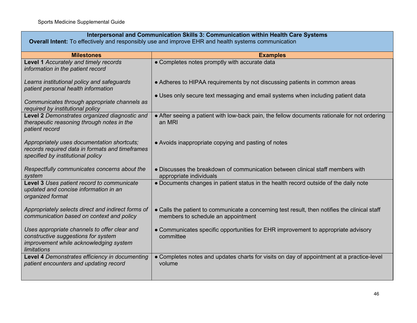| Interpersonal and Communication Skills 3: Communication within Health Care Systems                                                                  |                                                                                                                                     |
|-----------------------------------------------------------------------------------------------------------------------------------------------------|-------------------------------------------------------------------------------------------------------------------------------------|
| Overall Intent: To effectively and responsibly use and improve EHR and health systems communication                                                 |                                                                                                                                     |
| <b>Milestones</b>                                                                                                                                   | <b>Examples</b>                                                                                                                     |
| Level 1 Accurately and timely records<br>information in the patient record                                                                          | • Completes notes promptly with accurate data                                                                                       |
| Learns institutional policy and safeguards<br>patient personal health information                                                                   | • Adheres to HIPAA requirements by not discussing patients in common areas                                                          |
| Communicates through appropriate channels as<br>required by institutional policy                                                                    | • Uses only secure text messaging and email systems when including patient data                                                     |
| Level 2 Demonstrates organized diagnostic and<br>therapeutic reasoning through notes in the<br>patient record                                       | • After seeing a patient with low-back pain, the fellow documents rationale for not ordering<br>an MRI                              |
| Appropriately uses documentation shortcuts;<br>records required data in formats and timeframes<br>specified by institutional policy                 | • Avoids inappropriate copying and pasting of notes                                                                                 |
| Respectfully communicates concerns about the<br>system                                                                                              | • Discusses the breakdown of communication between clinical staff members with<br>appropriate individuals                           |
| Level 3 Uses patient record to communicate<br>updated and concise information in an<br>organized format                                             | • Documents changes in patient status in the health record outside of the daily note                                                |
| Appropriately selects direct and indirect forms of<br>communication based on context and policy                                                     | • Calls the patient to communicate a concerning test result, then notifies the clinical staff<br>members to schedule an appointment |
| Uses appropriate channels to offer clear and<br>constructive suggestions for system<br>improvement while acknowledging system<br><b>limitations</b> | • Communicates specific opportunities for EHR improvement to appropriate advisory<br>committee                                      |
| Level 4 Demonstrates efficiency in documenting<br>patient encounters and updating record                                                            | • Completes notes and updates charts for visits on day of appointment at a practice-level<br>volume                                 |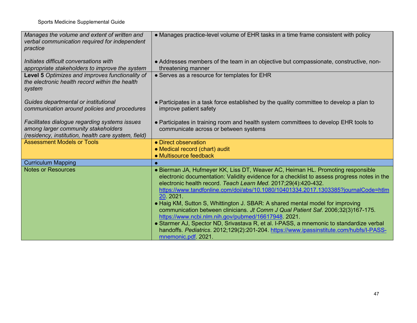| Manages the volume and extent of written and<br>verbal communication required for independent<br>practice                                   | • Manages practice-level volume of EHR tasks in a time frame consistent with policy                                                                                                                                                                                                                                                                                                                                                                                                                                                                                                                                                                                                                                                                                  |
|---------------------------------------------------------------------------------------------------------------------------------------------|----------------------------------------------------------------------------------------------------------------------------------------------------------------------------------------------------------------------------------------------------------------------------------------------------------------------------------------------------------------------------------------------------------------------------------------------------------------------------------------------------------------------------------------------------------------------------------------------------------------------------------------------------------------------------------------------------------------------------------------------------------------------|
| Initiates difficult conversations with<br>appropriate stakeholders to improve the system                                                    | • Addresses members of the team in an objective but compassionate, constructive, non-<br>threatening manner                                                                                                                                                                                                                                                                                                                                                                                                                                                                                                                                                                                                                                                          |
| Level 5 Optimizes and improves functionality of<br>the electronic health record within the health<br>system                                 | • Serves as a resource for templates for EHR                                                                                                                                                                                                                                                                                                                                                                                                                                                                                                                                                                                                                                                                                                                         |
| Guides departmental or institutional<br>communication around policies and procedures                                                        | • Participates in a task force established by the quality committee to develop a plan to<br>improve patient safety                                                                                                                                                                                                                                                                                                                                                                                                                                                                                                                                                                                                                                                   |
| Facilitates dialogue regarding systems issues<br>among larger community stakeholders<br>(residency, institution, health care system, field) | • Participates in training room and health system committees to develop EHR tools to<br>communicate across or between systems                                                                                                                                                                                                                                                                                                                                                                                                                                                                                                                                                                                                                                        |
| <b>Assessment Models or Tools</b>                                                                                                           | • Direct observation                                                                                                                                                                                                                                                                                                                                                                                                                                                                                                                                                                                                                                                                                                                                                 |
|                                                                                                                                             | • Medical record (chart) audit                                                                                                                                                                                                                                                                                                                                                                                                                                                                                                                                                                                                                                                                                                                                       |
|                                                                                                                                             | • Multisource feedback                                                                                                                                                                                                                                                                                                                                                                                                                                                                                                                                                                                                                                                                                                                                               |
| <b>Curriculum Mapping</b>                                                                                                                   |                                                                                                                                                                                                                                                                                                                                                                                                                                                                                                                                                                                                                                                                                                                                                                      |
| <b>Notes or Resources</b>                                                                                                                   | • Bierman JA, Hufmeyer KK, Liss DT, Weaver AC, Heiman HL. Promoting responsible<br>electronic documentation: Validity evidence for a checklist to assess progress notes in the<br>electronic health record. Teach Learn Med. 2017;29(4):420-432.<br>https://www.tandfonline.com/doi/abs/10.1080/10401334.2017.1303385?journalCode=htlm<br>20. 2021.<br>• Haig KM, Sutton S, Whittington J. SBAR: A shared mental model for improving<br>communication between clinicians. Jt Comm J Qual Patient Saf. 2006;32(3)167-175.<br>https://www.ncbi.nlm.nih.gov/pubmed/16617948 2021.<br>• Starmer AJ, Spector ND, Srivastava R, et al. I-PASS, a mnemonic to standardize verbal<br>handoffs. Pediatrics. 2012;129(2):201-204. https://www.ipassinstitute.com/hubfs/l-PASS- |
|                                                                                                                                             | mnemonic.pdf 2021.                                                                                                                                                                                                                                                                                                                                                                                                                                                                                                                                                                                                                                                                                                                                                   |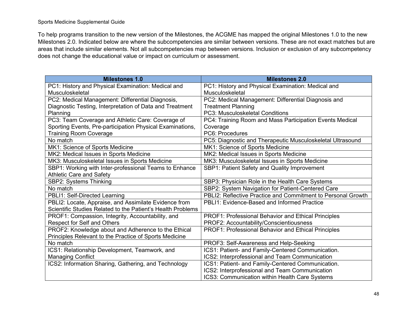To help programs transition to the new version of the Milestones, the ACGME has mapped the original Milestones 1.0 to the new Milestones 2.0. Indicated below are where the subcompetencies are similar between versions. These are not exact matches but are areas that include similar elements. Not all subcompetencies map between versions. Inclusion or exclusion of any subcompetency does not change the educational value or impact on curriculum or assessment.

| <b>Milestones 1.0</b>                                       | <b>Milestones 2.0</b>                                        |
|-------------------------------------------------------------|--------------------------------------------------------------|
| PC1: History and Physical Examination: Medical and          | PC1: History and Physical Examination: Medical and           |
| Musculoskeletal                                             | Musculoskeletal                                              |
| PC2: Medical Management: Differential Diagnosis,            | PC2: Medical Management: Differential Diagnosis and          |
| Diagnostic Testing, Interpretation of Data and Treatment    | <b>Treatment Planning</b>                                    |
| Planning                                                    | PC3: Musculoskeletal Conditions                              |
| PC3: Team Coverage and Athletic Care: Coverage of           | PC4: Training Room and Mass Participation Events Medical     |
| Sporting Events, Pre-participation Physical Examinations,   | Coverage                                                     |
| <b>Training Room Coverage</b>                               | PC6: Procedures                                              |
| No match                                                    | PC5: Diagnostic and Therapeutic Musculoskeletal Ultrasound   |
| MK1: Science of Sports Medicine                             | MK1: Science of Sports Medicine                              |
| MK2: Medical Issues in Sports Medicine                      | MK2: Medical Issues in Sports Medicine                       |
| MK3: Musculoskeletal Issues in Sports Medicine              | MK3: Musculoskeletal Issues in Sports Medicine               |
| SBP1: Working with Inter-professional Teams to Enhance      | SBP1: Patient Safety and Quality Improvement                 |
| <b>Athletic Care and Safety</b>                             |                                                              |
| SBP2: Systems Thinking                                      | SBP3: Physician Role in the Health Care Systems              |
| No match                                                    | SBP2: System Navigation for Patient-Centered Care            |
| PBLI1: Self-Directed Learning                               | PBLI2: Reflective Practice and Commitment to Personal Growth |
| PBLI2: Locate, Appraise, and Assimilate Evidence from       | PBLI1: Evidence-Based and Informed Practice                  |
| Scientific Studies Related to the Patient's Health Problems |                                                              |
| PROF1: Compassion, Integrity, Accountability, and           | PROF1: Professional Behavior and Ethical Principles          |
| <b>Respect for Self and Others</b>                          | PROF2: Accountability/Conscientiousness                      |
| PROF2: Knowledge about and Adherence to the Ethical         | PROF1: Professional Behavior and Ethical Principles          |
| Principles Relevant to the Practice of Sports Medicine      |                                                              |
| No match                                                    | PROF3: Self-Awareness and Help-Seeking                       |
| ICS1: Relationship Development, Teamwork, and               | ICS1: Patient- and Family-Centered Communication.            |
| <b>Managing Conflict</b>                                    | ICS2: Interprofessional and Team Communication               |
| ICS2: Information Sharing, Gathering, and Technology        | ICS1: Patient- and Family-Centered Communication.            |
|                                                             | ICS2: Interprofessional and Team Communication               |
|                                                             | ICS3: Communication within Health Care Systems               |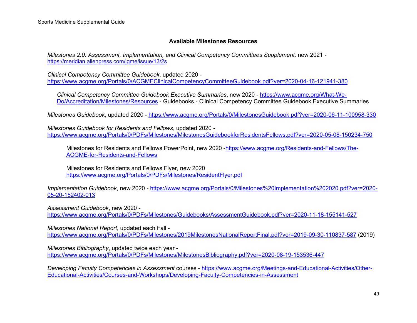### **Available Milestones Resources**

*Milestones 2.0: Assessment, Implementation, and Clinical Competency Committees Supplement, new 2021* <https://meridian.allenpress.com/jgme/issue/13/2s>

*Clinical Competency Committee Guidebook*, updated 2020 <https://www.acgme.org/Portals/0/ACGMEClinicalCompetencyCommitteeGuidebook.pdf?ver=2020-04-16-121941-380>

*Clinical Competency Committee Guidebook Executive Summaries*, new 2020 - [https://www.acgme.org/What-We-](https://www.acgme.org/What-We-Do/Accreditation/Milestones/Resources)[Do/Accreditation/Milestones/Resources](https://www.acgme.org/What-We-Do/Accreditation/Milestones/Resources) - Guidebooks - Clinical Competency Committee Guidebook Executive Summaries

*Milestones Guidebook*, updated 2020 - <https://www.acgme.org/Portals/0/MilestonesGuidebook.pdf?ver=2020-06-11-100958-330>

*Milestones Guidebook for Residents and Fellows*, updated 2020 <https://www.acgme.org/Portals/0/PDFs/Milestones/MilestonesGuidebookforResidentsFellows.pdf?ver=2020-05-08-150234-750>

Milestones for Residents and Fellows PowerPoint, new 2020 - https://www.acgme.org/Residents-and-Fellows/The-[ACGME-for-Residents-and-Fellows](https://www.acgme.org/Residents-and-Fellows/The-ACGME-for-Residents-and-Fellows)

Milestones for Residents and Fellows Flyer, new 2020 <https://www.acgme.org/Portals/0/PDFs/Milestones/ResidentFlyer.pdf>

*Implementation Guidebook*, new 2020 - [https://www.acgme.org/Portals/0/Milestones%20Implementation%202020.pdf?ver=2020-](https://www.acgme.org/Portals/0/Milestones%20Implementation%202020.pdf?ver=2020-05-20-152402-013) [05-20-152402-013](https://www.acgme.org/Portals/0/Milestones%20Implementation%202020.pdf?ver=2020-05-20-152402-013)

*Assessment Guidebook*, new 2020 <https://www.acgme.org/Portals/0/PDFs/Milestones/Guidebooks/AssessmentGuidebook.pdf?ver=2020-11-18-155141-527>

*Milestones National Report*, updated each Fall <https://www.acgme.org/Portals/0/PDFs/Milestones/2019MilestonesNationalReportFinal.pdf?ver=2019-09-30-110837-587> (2019)

*Milestones Bibliography*, updated twice each year <https://www.acgme.org/Portals/0/PDFs/Milestones/MilestonesBibliography.pdf?ver=2020-08-19-153536-447>

*Developing Faculty Competencies in Assessment* courses - [https://www.acgme.org/Meetings-and-Educational-Activities/Other-](https://www.acgme.org/Meetings-and-Educational-Activities/Other-Educational-Activities/Courses-and-Workshops/Developing-Faculty-Competencies-in-Assessment)[Educational-Activities/Courses-and-Workshops/Developing-Faculty-Competencies-in-Assessment](https://www.acgme.org/Meetings-and-Educational-Activities/Other-Educational-Activities/Courses-and-Workshops/Developing-Faculty-Competencies-in-Assessment)